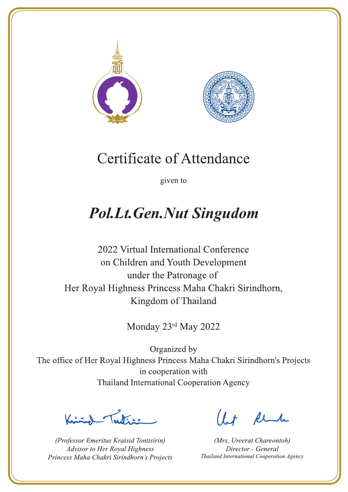



given to

# **Pol.Lt.Gen.Nut Singudom**

2022 Virtual International Conference on Children and Youth Development under the Patronage of Her Royal Highness Princess Maha Chakri Sirindhorn, Kingdom of Thailand

Monday 23rd May 2022

Let's

(Professor Emeritus Kraisid Tontisirin) Advisor to Her Royal Highness Princess Maha Chakri Sirindhorn's Projects

 $l.t$  find

(Mrs. Ureerat Chareontoh) Director - General Thailand International Cooperation Agency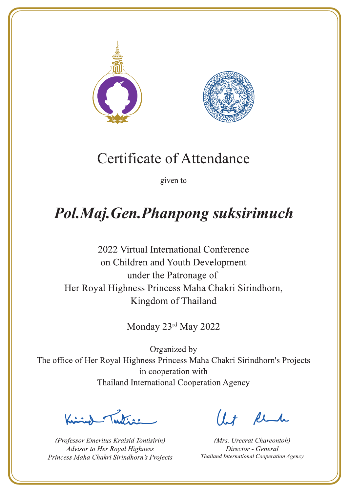



given to

# Pol.Maj.Gen.Phanpong suksirimuch

2022 Virtual International Conference on Children and Youth Development under the Patronage of Her Royal Highness Princess Maha Chakri Sirindhorn, Kingdom of Thailand

Monday 23rd May 2022

 $\frac{1}{\sqrt{2}}$ 

(Professor Emeritus Kraisid Tontisirin) Advisor to Her Royal Highness Princess Maha Chakri Sirindhorn's Projects

 $l + \ell$ 

(Mrs. Ureerat Chareontoh) Director - General Thailand International Cooperation Agency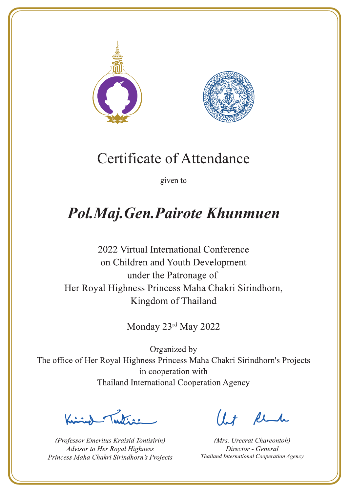



given to

## Pol.Maj.Gen.Pairote Khunmuen

2022 Virtual International Conference on Children and Youth Development under the Patronage of Her Royal Highness Princess Maha Chakri Sirindhorn, Kingdom of Thailand

Monday 23rd May 2022

Letters ,

(Professor Emeritus Kraisid Tontisirin) Advisor to Her Royal Highness Princess Maha Chakri Sirindhorn's Projects

 $l.t$  find

(Mrs. Ureerat Chareontoh) Director - General Thailand International Cooperation Agency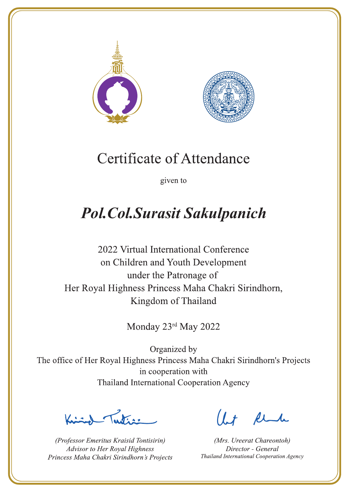



given to

# **Pol. Col. Surasit Sakulpanich**

2022 Virtual International Conference on Children and Youth Development under the Patronage of Her Royal Highness Princess Maha Chakri Sirindhorn, Kingdom of Thailand

Monday 23rd May 2022

 $\sqrt{1-\frac{1}{2}}$ 

(Professor Emeritus Kraisid Tontisirin) Advisor to Her Royal Highness Princess Maha Chakri Sirindhorn's Projects

 $1.7$  flu

(Mrs. Ureerat Chareontoh) Director - General Thailand International Cooperation Agency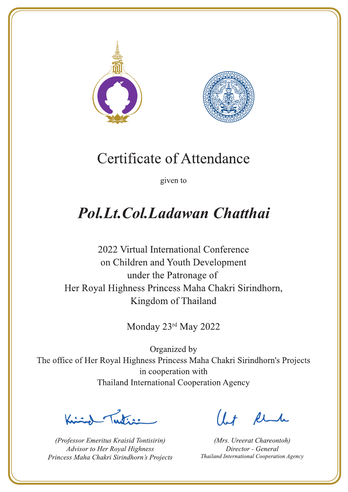



given to

## **Pol.Lt.Col.Ladawan Chatthai**

2022 Virtual International Conference on Children and Youth Development under the Patronage of Her Royal Highness Princess Maha Chakri Sirindhorn, Kingdom of Thailand

Monday 23rd May 2022

Lating

(Professor Emeritus Kraisid Tontisirin) Advisor to Her Royal Highness Princess Maha Chakri Sirindhorn's Projects

 $l.t$  find

(Mrs. Ureerat Chareontoh) Director - General Thailand International Cooperation Agency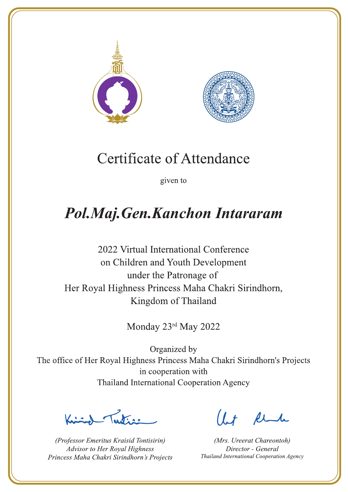



given to

## Pol.Maj.Gen.Kanchon Intararam

2022 Virtual International Conference on Children and Youth Development under the Patronage of Her Royal Highness Princess Maha Chakri Sirindhorn, Kingdom of Thailand

Monday 23rd May 2022

Lutin ,

(Professor Emeritus Kraisid Tontisirin) Advisor to Her Royal Highness Princess Maha Chakri Sirindhorn's Projects

 $l.t$  find

(Mrs. Ureerat Chareontoh) Director - General Thailand International Cooperation Agency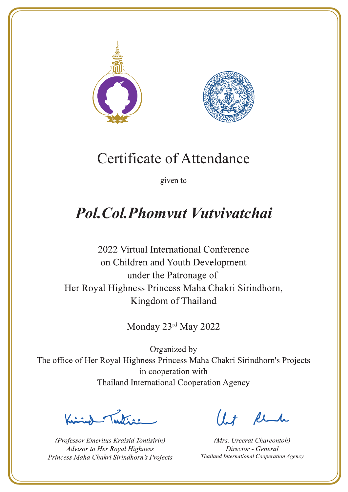



given to

## **Pol. Col. Phomyut Vutvivatchai**

2022 Virtual International Conference on Children and Youth Development under the Patronage of Her Royal Highness Princess Maha Chakri Sirindhorn, Kingdom of Thailand

Monday 23rd May 2022

Ludian 1

(Professor Emeritus Kraisid Tontisirin) Advisor to Her Royal Highness Princess Maha Chakri Sirindhorn's Projects

 $l.t$  find

(Mrs. Ureerat Chareontoh) Director - General Thailand International Cooperation Agency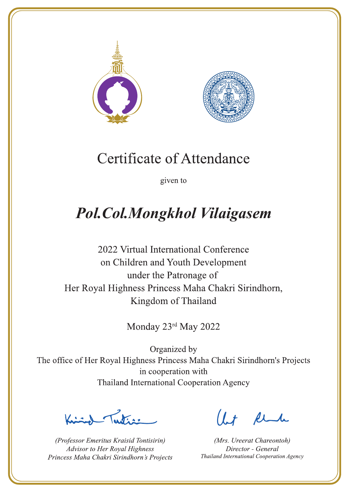



given to

# **Pol.Col.Mongkhol Vilaigasem**

2022 Virtual International Conference on Children and Youth Development under the Patronage of Her Royal Highness Princess Maha Chakri Sirindhorn, Kingdom of Thailand

Monday 23rd May 2022

 $\sum_{n=1}^{\infty}$ 

(Professor Emeritus Kraisid Tontisirin) Advisor to Her Royal Highness Princess Maha Chakri Sirindhorn's Projects

 $l.t$  find

(Mrs. Ureerat Chareontoh) Director - General Thailand International Cooperation Agency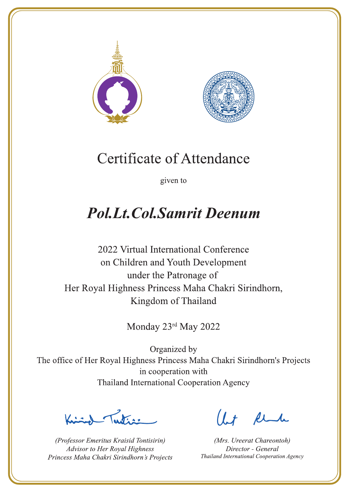



given to

## **Pol.Lt.Col.Samrit Deenum**

2022 Virtual International Conference on Children and Youth Development under the Patronage of Her Royal Highness Princess Maha Chakri Sirindhorn, Kingdom of Thailand

Monday 23rd May 2022

Letter

(Professor Emeritus Kraisid Tontisirin) Advisor to Her Royal Highness Princess Maha Chakri Sirindhorn's Projects

 $l.t$  find

(Mrs. Ureerat Chareontoh) Director - General Thailand International Cooperation Agency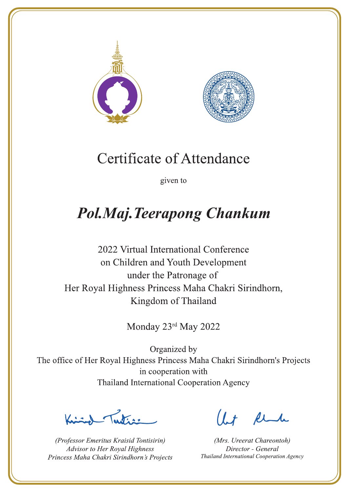



given to

# **Pol.Maj.Teerapong Chankum**

2022 Virtual International Conference on Children and Youth Development under the Patronage of Her Royal Highness Princess Maha Chakri Sirindhorn, Kingdom of Thailand

Monday 23rd May 2022

 $\sum_{n=1}^{\infty}$ 

(Professor Emeritus Kraisid Tontisirin) Advisor to Her Royal Highness Princess Maha Chakri Sirindhorn's Projects

 $l.t$  find

(Mrs. Ureerat Chareontoh) Director - General Thailand International Cooperation Agency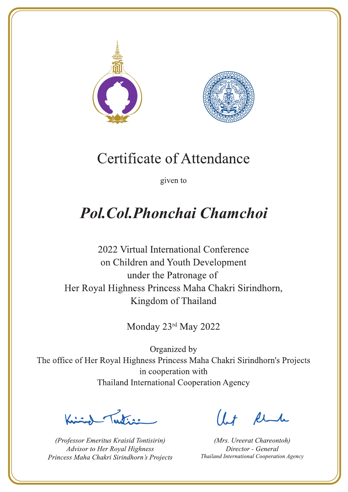



given to

## **Pol. Col. Phonchai Chamchoi**

2022 Virtual International Conference on Children and Youth Development under the Patronage of Her Royal Highness Princess Maha Chakri Sirindhorn, Kingdom of Thailand

Monday 23rd May 2022

Lating

(Professor Emeritus Kraisid Tontisirin) Advisor to Her Royal Highness Princess Maha Chakri Sirindhorn's Projects

 $1.7$  find

(Mrs. Ureerat Chareontoh) Director - General Thailand International Cooperation Agency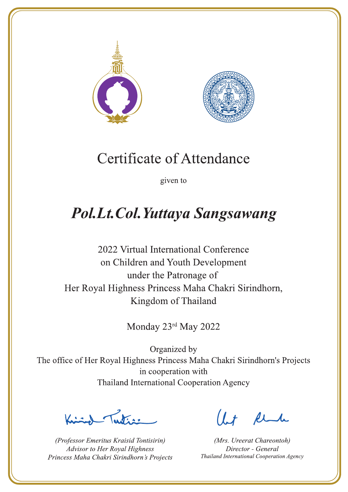



given to

## **Pol.Lt.Col.Yuttaya Sangsawang**

2022 Virtual International Conference on Children and Youth Development under the Patronage of Her Royal Highness Princess Maha Chakri Sirindhorn, Kingdom of Thailand

Monday 23rd May 2022

Justin 1

(Professor Emeritus Kraisid Tontisirin) Advisor to Her Royal Highness Princess Maha Chakri Sirindhorn's Projects

 $l.t$  find

(Mrs. Ureerat Chareontoh) Director - General Thailand International Cooperation Agency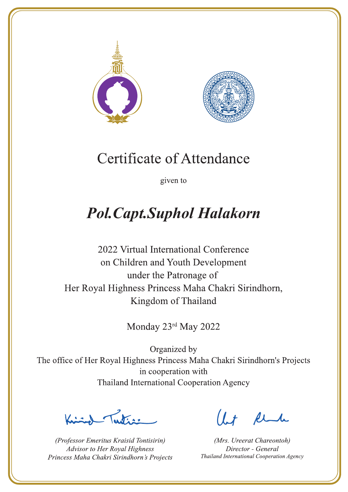



given to

# **Pol. Capt. Suphol Halakorn**

2022 Virtual International Conference on Children and Youth Development under the Patronage of Her Royal Highness Princess Maha Chakri Sirindhorn, Kingdom of Thailand

Monday 23rd May 2022

Lutin ,

(Professor Emeritus Kraisid Tontisirin) Advisor to Her Royal Highness Princess Maha Chakri Sirindhorn's Projects

 $l.t$  find

(Mrs. Ureerat Chareontoh) Director - General Thailand International Cooperation Agency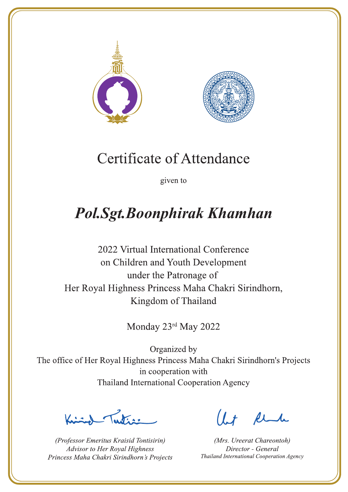



given to

## **Pol.Sgt.Boonphirak Khamhan**

2022 Virtual International Conference on Children and Youth Development under the Patronage of Her Royal Highness Princess Maha Chakri Sirindhorn, Kingdom of Thailand

Monday 23rd May 2022

Lutin ,

(Professor Emeritus Kraisid Tontisirin) Advisor to Her Royal Highness Princess Maha Chakri Sirindhorn's Projects

 $l.t$  find

(Mrs. Ureerat Chareontoh) Director - General Thailand International Cooperation Agency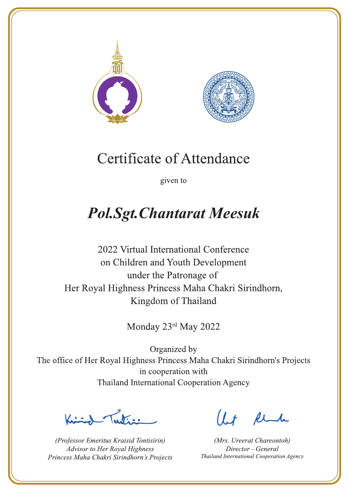



given to

## **Pol.Sgt. Chantarat Meesuk**

2022 Virtual International Conference on Children and Youth Development under the Patronage of Her Royal Highness Princess Maha Chakri Sirindhorn, Kingdom of Thailand

Monday 23rd May 2022

Lutin ,

(Professor Emeritus Kraisid Tontisirin) Advisor to Her Royal Highness Princess Maha Chakri Sirindhorn's Projects

 $l.t$  find

(Mrs. Ureerat Chareontoh) Director - General Thailand International Cooperation Agency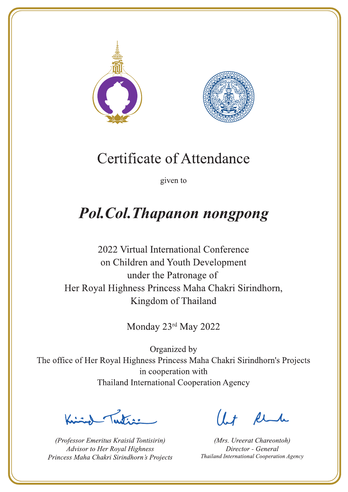



given to

## **Pol.Col.Thapanon nongpong**

2022 Virtual International Conference on Children and Youth Development under the Patronage of Her Royal Highness Princess Maha Chakri Sirindhorn, Kingdom of Thailand

Monday 23rd May 2022

Letters ,

(Professor Emeritus Kraisid Tontisirin) Advisor to Her Royal Highness Princess Maha Chakri Sirindhorn's Projects

 $l.t$  find

(Mrs. Ureerat Chareontoh) Director - General Thailand International Cooperation Agency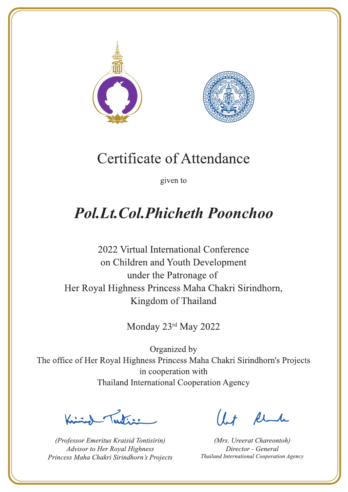



given to

## **Pol.Lt.Col.Phicheth Poonchoo**

2022 Virtual International Conference on Children and Youth Development under the Patronage of Her Royal Highness Princess Maha Chakri Sirindhorn, Kingdom of Thailand

Monday 23rd May 2022

Lutin ,

(Professor Emeritus Kraisid Tontisirin) Advisor to Her Royal Highness Princess Maha Chakri Sirindhorn's Projects

 $1 + \mu$ 

(Mrs. Ureerat Chareontoh) Director - General Thailand International Cooperation Agency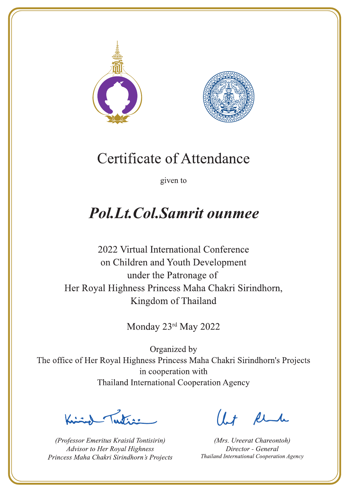



given to

## **Pol.Lt.Col.Samrit ounmee**

2022 Virtual International Conference on Children and Youth Development under the Patronage of Her Royal Highness Princess Maha Chakri Sirindhorn, Kingdom of Thailand

Monday 23rd May 2022

Letter

(Professor Emeritus Kraisid Tontisirin) Advisor to Her Royal Highness Princess Maha Chakri Sirindhorn's Projects

 $l.t$  find

(Mrs. Ureerat Chareontoh) Director - General Thailand International Cooperation Agency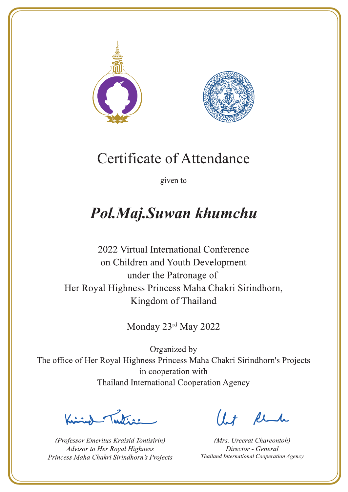



given to

## Pol.Maj.Suwan khumchu

2022 Virtual International Conference on Children and Youth Development under the Patronage of Her Royal Highness Princess Maha Chakri Sirindhorn, Kingdom of Thailand

Monday 23rd May 2022

Lutin ,

(Professor Emeritus Kraisid Tontisirin) Advisor to Her Royal Highness Princess Maha Chakri Sirindhorn's Projects

 $l.t$  find

(Mrs. Ureerat Chareontoh) Director - General Thailand International Cooperation Agency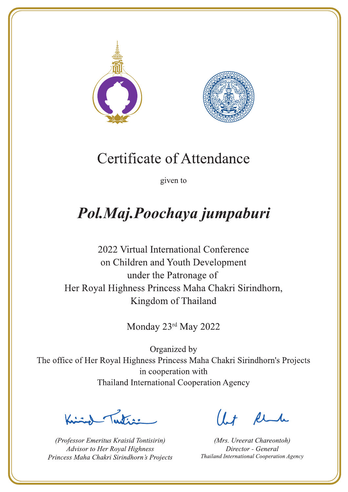



given to

# Pol.Maj.Poochaya jumpaburi

2022 Virtual International Conference on Children and Youth Development under the Patronage of Her Royal Highness Princess Maha Chakri Sirindhorn, Kingdom of Thailand

Monday 23rd May 2022

 $\sqrt{1-\frac{1}{2}}$ 

(Professor Emeritus Kraisid Tontisirin) Advisor to Her Royal Highness Princess Maha Chakri Sirindhorn's Projects

 $l.t$  find

(Mrs. Ureerat Chareontoh) Director - General Thailand International Cooperation Agency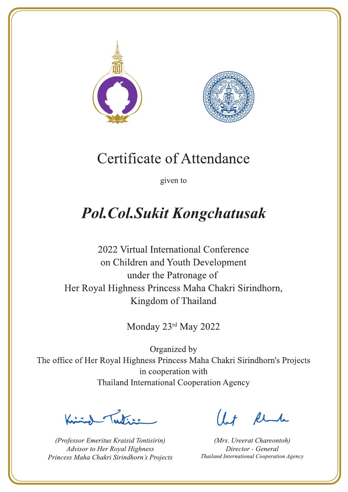



given to

# **Pol.Col.Sukit Kongchatusak**

2022 Virtual International Conference on Children and Youth Development under the Patronage of Her Royal Highness Princess Maha Chakri Sirindhorn, Kingdom of Thailand

Monday 23rd May 2022

Jesting

(Professor Emeritus Kraisid Tontisirin) Advisor to Her Royal Highness Princess Maha Chakri Sirindhorn's Projects

 $l.t$  find

(Mrs. Ureerat Chareontoh) Director - General Thailand International Cooperation Agency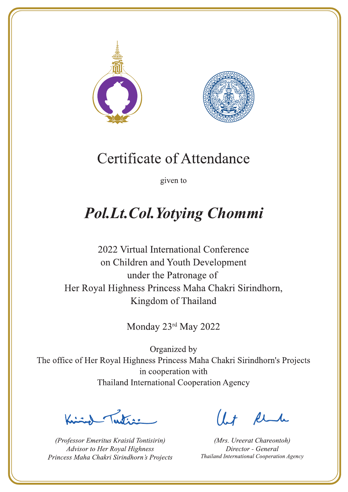



given to

## **Pol.Lt.Col.Yotying Chommi**

2022 Virtual International Conference on Children and Youth Development under the Patronage of Her Royal Highness Princess Maha Chakri Sirindhorn, Kingdom of Thailand

Monday 23rd May 2022

 $\sum_{n=1}^{\infty}$ 

(Professor Emeritus Kraisid Tontisirin) Advisor to Her Royal Highness Princess Maha Chakri Sirindhorn's Projects

 $l.t$  find

(Mrs. Ureerat Chareontoh) Director - General Thailand International Cooperation Agency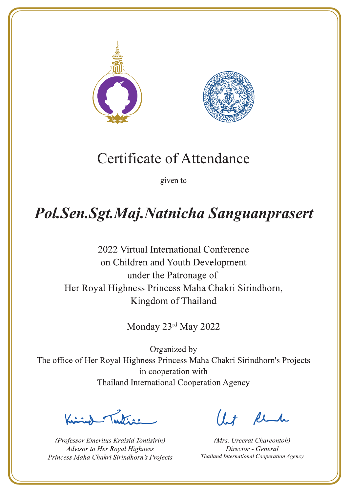



given to

## Pol.Sen.Sgt.Maj.Natnicha Sanguanprasert

2022 Virtual International Conference on Children and Youth Development under the Patronage of Her Royal Highness Princess Maha Chakri Sirindhorn, Kingdom of Thailand

Monday 23rd May 2022

 $\frac{1}{\sqrt{2}}$ 

(Professor Emeritus Kraisid Tontisirin) Advisor to Her Royal Highness Princess Maha Chakri Sirindhorn's Projects

 $l + \ell$ 

(Mrs. Ureerat Chareontoh) Director - General Thailand International Cooperation Agency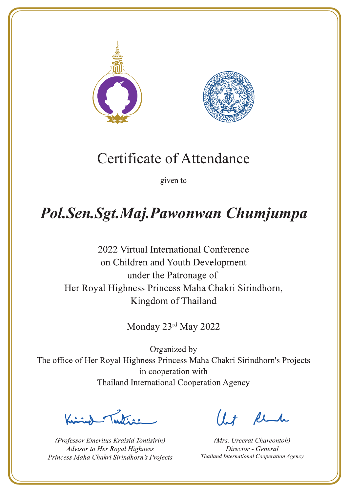



given to

## Pol.Sen.Sgt.Maj.Pawonwan Chumjumpa

2022 Virtual International Conference on Children and Youth Development under the Patronage of Her Royal Highness Princess Maha Chakri Sirindhorn, Kingdom of Thailand

Monday 23rd May 2022

 $\sqrt{1-\frac{1}{2}}$ 

(Professor Emeritus Kraisid Tontisirin) Advisor to Her Royal Highness Princess Maha Chakri Sirindhorn's Projects

 $l + \ell$ 

(Mrs. Ureerat Chareontoh) Director - General Thailand International Cooperation Agency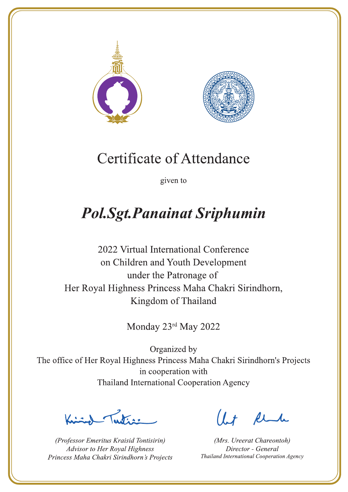



given to

# **Pol.Sgt.Panainat Sriphumin**

2022 Virtual International Conference on Children and Youth Development under the Patronage of Her Royal Highness Princess Maha Chakri Sirindhorn, Kingdom of Thailand

Monday 23rd May 2022

Letters ,

(Professor Emeritus Kraisid Tontisirin) Advisor to Her Royal Highness Princess Maha Chakri Sirindhorn's Projects

 $l.t$  find

(Mrs. Ureerat Chareontoh) Director - General Thailand International Cooperation Agency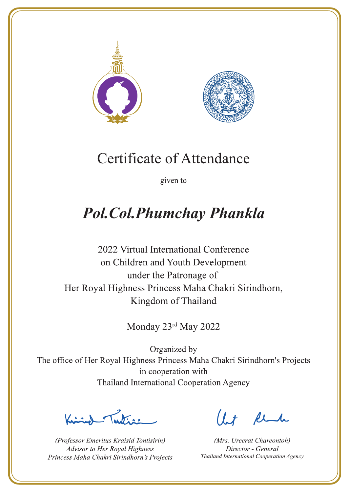



given to

## **Pol. Col. Phumchay Phankla**

2022 Virtual International Conference on Children and Youth Development under the Patronage of Her Royal Highness Princess Maha Chakri Sirindhorn, Kingdom of Thailand

Monday 23rd May 2022

 $\sqrt{1-\frac{1}{2}}$ 

(Professor Emeritus Kraisid Tontisirin) Advisor to Her Royal Highness Princess Maha Chakri Sirindhorn's Projects

 $l.t$  find

(Mrs. Ureerat Chareontoh) Director - General Thailand International Cooperation Agency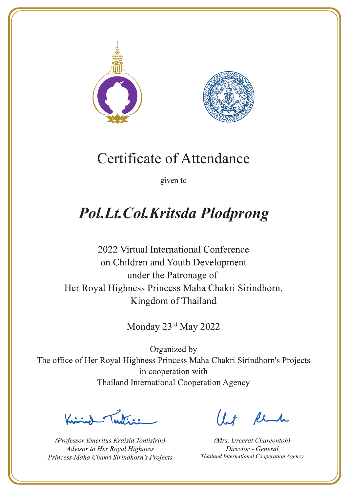



given to

## Pol.Lt.Col.Kritsda Plodprong

2022 Virtual International Conference on Children and Youth Development under the Patronage of Her Royal Highness Princess Maha Chakri Sirindhorn, Kingdom of Thailand

Monday 23rd May 2022

Lutin ,

(Professor Emeritus Kraisid Tontisirin) Advisor to Her Royal Highness Princess Maha Chakri Sirindhorn's Projects

 $1 + \ell$ 

(Mrs. Ureerat Chareontoh) Director - General Thailand International Cooperation Agency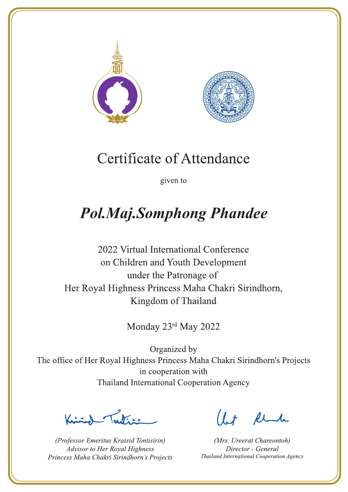



given to

# **Pol.Maj.Somphong Phandee**

2022 Virtual International Conference on Children and Youth Development under the Patronage of Her Royal Highness Princess Maha Chakri Sirindhorn, Kingdom of Thailand

Monday 23rd May 2022

 $\sqrt{1-\frac{1}{2}}$ 

(Professor Emeritus Kraisid Tontisirin) Advisor to Her Royal Highness Princess Maha Chakri Sirindhorn's Projects

 $l.t$  find

(Mrs. Ureerat Chareontoh) Director - General Thailand International Cooperation Agency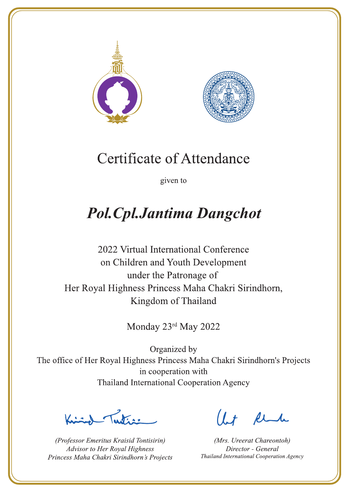



given to

# **Pol. Cpl. Jantima Dangchot**

2022 Virtual International Conference on Children and Youth Development under the Patronage of Her Royal Highness Princess Maha Chakri Sirindhorn, Kingdom of Thailand

Monday 23rd May 2022

Letters ,

(Professor Emeritus Kraisid Tontisirin) Advisor to Her Royal Highness Princess Maha Chakri Sirindhorn's Projects

 $l.t$  find

(Mrs. Ureerat Chareontoh) Director - General Thailand International Cooperation Agency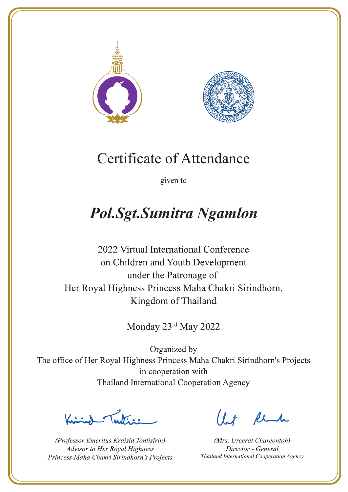



given to

## **Pol.Sgt.Sumitra Ngamlon**

2022 Virtual International Conference on Children and Youth Development under the Patronage of Her Royal Highness Princess Maha Chakri Sirindhorn, Kingdom of Thailand

Monday 23rd May 2022

L. K. ar

(Professor Emeritus Kraisid Tontisirin) Advisor to Her Royal Highness Princess Maha Chakri Sirindhorn's Projects

 $l.t$  find

(Mrs. Ureerat Chareontoh) Director - General Thailand International Cooperation Agency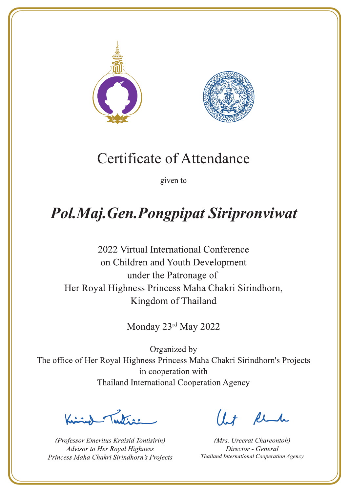



given to

# Pol.Maj.Gen.Pongpipat Siripronviwat

2022 Virtual International Conference on Children and Youth Development under the Patronage of Her Royal Highness Princess Maha Chakri Sirindhorn, Kingdom of Thailand

Monday 23rd May 2022

 $\frac{1}{\sqrt{2}}$ 

(Professor Emeritus Kraisid Tontisirin) Advisor to Her Royal Highness Princess Maha Chakri Sirindhorn's Projects

 $l + \ell$ 

(Mrs. Ureerat Chareontoh) Director - General Thailand International Cooperation Agency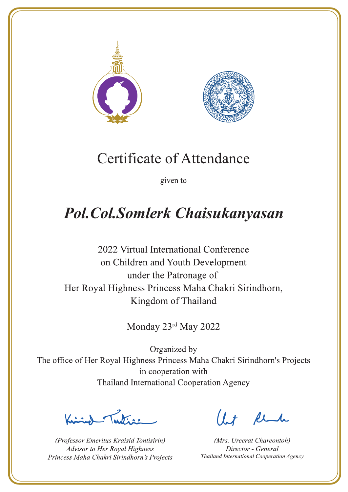



given to

## **Pol.Col.Somlerk Chaisukanyasan**

2022 Virtual International Conference on Children and Youth Development under the Patronage of Her Royal Highness Princess Maha Chakri Sirindhorn, Kingdom of Thailand

Monday 23rd May 2022

Latin ,

(Professor Emeritus Kraisid Tontisirin) Advisor to Her Royal Highness Princess Maha Chakri Sirindhorn's Projects

 $1.7$  flu

(Mrs. Ureerat Chareontoh) Director - General Thailand International Cooperation Agency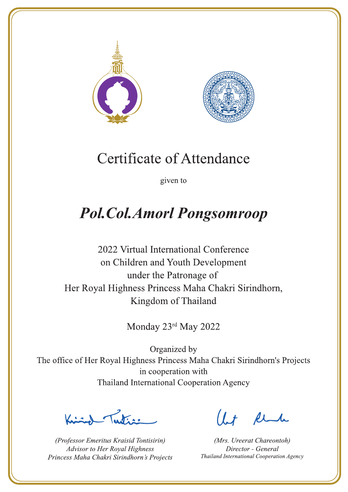



given to

## **Pol.Col.Amorl Pongsomroop**

2022 Virtual International Conference on Children and Youth Development under the Patronage of Her Royal Highness Princess Maha Chakri Sirindhorn, Kingdom of Thailand

Monday 23rd May 2022

Latin ,

(Professor Emeritus Kraisid Tontisirin) Advisor to Her Royal Highness Princess Maha Chakri Sirindhorn's Projects

 $l.t$  find

(Mrs. Ureerat Chareontoh) Director - General Thailand International Cooperation Agency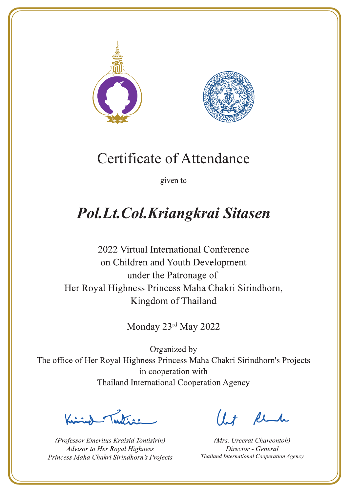



given to

## Pol.Lt.Col.Kriangkrai Sitasen

2022 Virtual International Conference on Children and Youth Development under the Patronage of Her Royal Highness Princess Maha Chakri Sirindhorn, Kingdom of Thailand

Monday 23rd May 2022

Justin 1

(Professor Emeritus Kraisid Tontisirin) Advisor to Her Royal Highness Princess Maha Chakri Sirindhorn's Projects

 $l.t$  find

(Mrs. Ureerat Chareontoh) Director - General Thailand International Cooperation Agency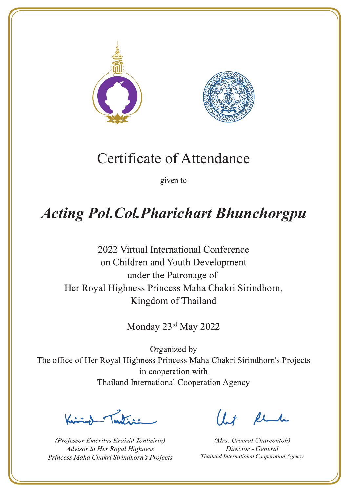



given to

# **Acting Pol. Col. Pharichart Bhunchorgpu**

2022 Virtual International Conference on Children and Youth Development under the Patronage of Her Royal Highness Princess Maha Chakri Sirindhorn, Kingdom of Thailand

Monday 23rd May 2022

 $\sqrt{1-\frac{1}{2}}$ 

(Professor Emeritus Kraisid Tontisirin) Advisor to Her Royal Highness Princess Maha Chakri Sirindhorn's Projects

 $l + \ell$ 

(Mrs. Ureerat Chareontoh) Director - General Thailand International Cooperation Agency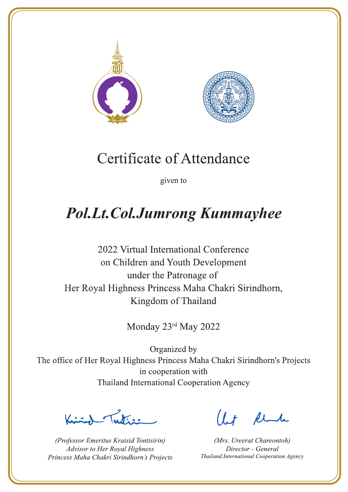



given to

# **Pol.Lt.Col.Jumrong Kummayhee**

2022 Virtual International Conference on Children and Youth Development under the Patronage of Her Royal Highness Princess Maha Chakri Sirindhorn, Kingdom of Thailand

Monday 23rd May 2022

Latin .

(Professor Emeritus Kraisid Tontisirin) Advisor to Her Royal Highness Princess Maha Chakri Sirindhorn's Projects

 $1.7$  flu

(Mrs. Ureerat Chareontoh) Director - General Thailand International Cooperation Agency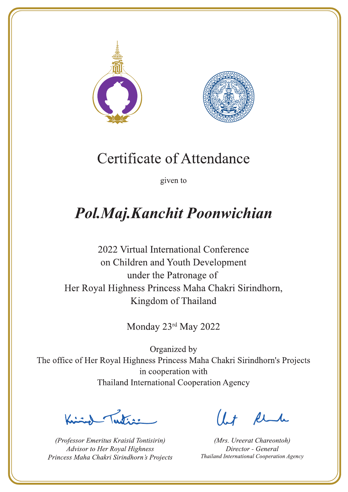



given to

## Pol.Maj.Kanchit Poonwichian

2022 Virtual International Conference on Children and Youth Development under the Patronage of Her Royal Highness Princess Maha Chakri Sirindhorn, Kingdom of Thailand

Monday 23rd May 2022

 $\sum_{n=1}^{\infty}$ 

(Professor Emeritus Kraisid Tontisirin) Advisor to Her Royal Highness Princess Maha Chakri Sirindhorn's Projects

 $l.t$  find

(Mrs. Ureerat Chareontoh) Director - General Thailand International Cooperation Agency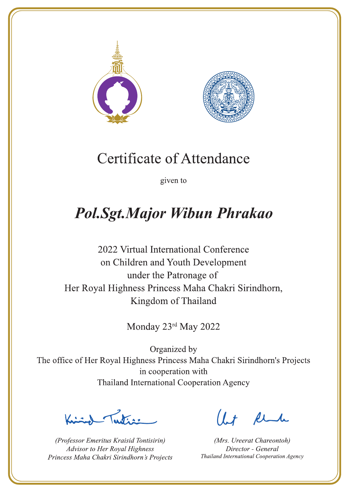



given to

### **Pol.Sgt.Major Wibun Phrakao**

2022 Virtual International Conference on Children and Youth Development under the Patronage of Her Royal Highness Princess Maha Chakri Sirindhorn, Kingdom of Thailand

Monday 23rd May 2022

Letters ,

(Professor Emeritus Kraisid Tontisirin) Advisor to Her Royal Highness Princess Maha Chakri Sirindhorn's Projects

 $l.t$  find

(Mrs. Ureerat Chareontoh) Director - General Thailand International Cooperation Agency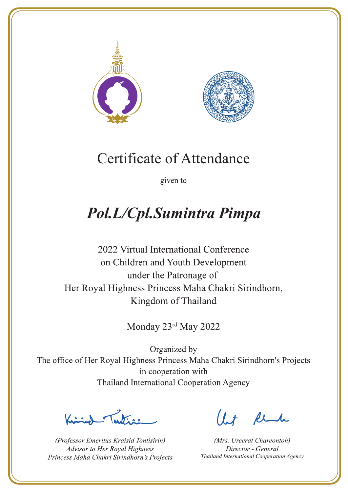



given to

## Pol.L/Cpl.Sumintra Pimpa

2022 Virtual International Conference on Children and Youth Development under the Patronage of Her Royal Highness Princess Maha Chakri Sirindhorn, Kingdom of Thailand

Monday 23rd May 2022

 $\sum_{n=1}^{\infty}$ 

(Professor Emeritus Kraisid Tontisirin) Advisor to Her Royal Highness Princess Maha Chakri Sirindhorn's Projects

 $l.t$  find

(Mrs. Ureerat Chareontoh) Director - General Thailand International Cooperation Agency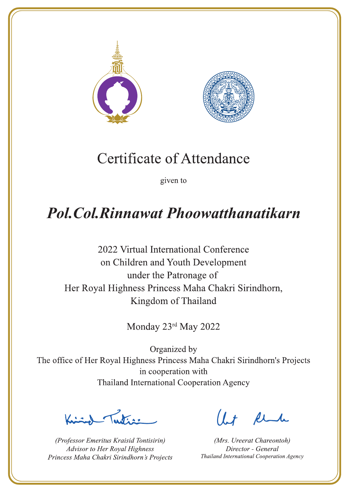



given to

### **Pol. Col. Rinnawat Phoowatthanatikarn**

2022 Virtual International Conference on Children and Youth Development under the Patronage of Her Royal Highness Princess Maha Chakri Sirindhorn, Kingdom of Thailand

Monday 23rd May 2022

Ludian

(Professor Emeritus Kraisid Tontisirin) Advisor to Her Royal Highness Princess Maha Chakri Sirindhorn's Projects

 $1 + \mu$ 

(Mrs. Ureerat Chareontoh) Director - General Thailand International Cooperation Agency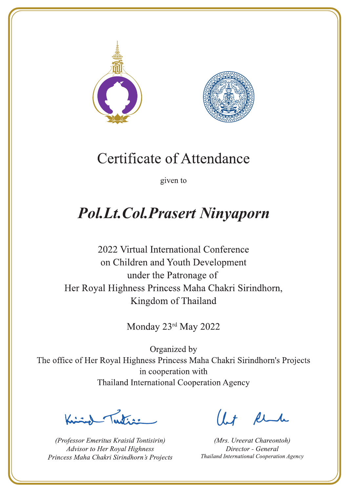



given to

## **Pol.Lt.Col.Prasert Ninyaporn**

2022 Virtual International Conference on Children and Youth Development under the Patronage of Her Royal Highness Princess Maha Chakri Sirindhorn, Kingdom of Thailand

Monday 23rd May 2022

Latin ,

(Professor Emeritus Kraisid Tontisirin) Advisor to Her Royal Highness Princess Maha Chakri Sirindhorn's Projects

 $1.7$  flu

(Mrs. Ureerat Chareontoh) Director - General Thailand International Cooperation Agency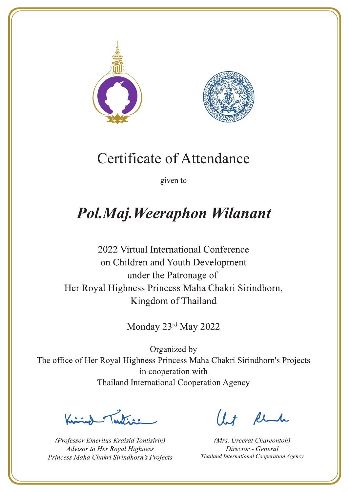



given to

### Pol.Maj. Weeraphon Wilanant

2022 Virtual International Conference on Children and Youth Development under the Patronage of Her Royal Highness Princess Maha Chakri Sirindhorn, Kingdom of Thailand

Monday 23rd May 2022

Letters ,

(Professor Emeritus Kraisid Tontisirin) Advisor to Her Royal Highness Princess Maha Chakri Sirindhorn's Projects

 $l.t$  find

(Mrs. Ureerat Chareontoh) Director - General Thailand International Cooperation Agency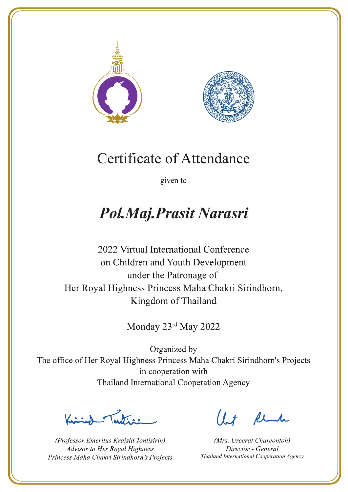



given to

### Pol.Maj.Prasit Narasri

2022 Virtual International Conference on Children and Youth Development under the Patronage of Her Royal Highness Princess Maha Chakri Sirindhorn, Kingdom of Thailand

Monday 23rd May 2022

La de avons

(Professor Emeritus Kraisid Tontisirin) Advisor to Her Royal Highness Princess Maha Chakri Sirindhorn's Projects

 $l.t$  find

(Mrs. Ureerat Chareontoh) Director - General Thailand International Cooperation Agency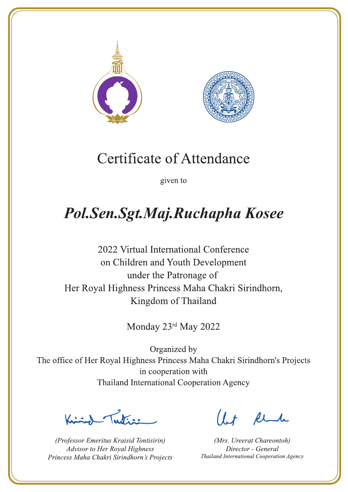



given to

## Pol.Sen.Sgt.Maj.Ruchapha Kosee

2022 Virtual International Conference on Children and Youth Development under the Patronage of Her Royal Highness Princess Maha Chakri Sirindhorn, Kingdom of Thailand

Monday 23rd May 2022

 $\sqrt{1-\frac{1}{2}}$ 

(Professor Emeritus Kraisid Tontisirin) Advisor to Her Royal Highness Princess Maha Chakri Sirindhorn's Projects

 $1 + \ell$ 

(Mrs. Ureerat Chareontoh) Director - General Thailand International Cooperation Agency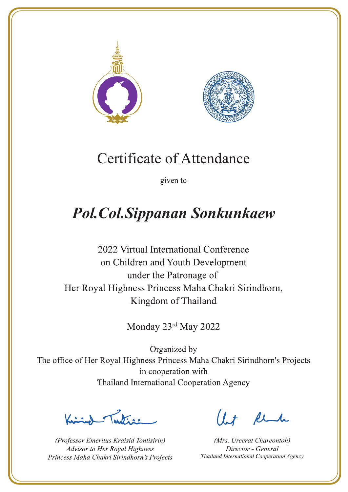



given to

# **Pol.Col.Sippanan Sonkunkaew**

2022 Virtual International Conference on Children and Youth Development under the Patronage of Her Royal Highness Princess Maha Chakri Sirindhorn, Kingdom of Thailand

Monday 23rd May 2022

Lutin ,

(Professor Emeritus Kraisid Tontisirin) Advisor to Her Royal Highness Princess Maha Chakri Sirindhorn's Projects

 $l.t$  find

(Mrs. Ureerat Chareontoh) Director - General Thailand International Cooperation Agency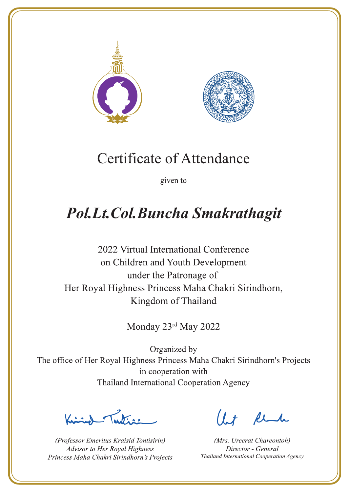



given to

## Pol.Lt.Col.Buncha Smakrathagit

2022 Virtual International Conference on Children and Youth Development under the Patronage of Her Royal Highness Princess Maha Chakri Sirindhorn, Kingdom of Thailand

Monday 23rd May 2022

Lutin ,

(Professor Emeritus Kraisid Tontisirin) Advisor to Her Royal Highness Princess Maha Chakri Sirindhorn's Projects

 $1 + \ell$ 

(Mrs. Ureerat Chareontoh) Director - General Thailand International Cooperation Agency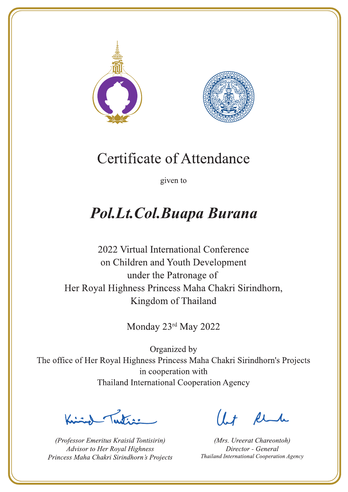



given to

### Pol.Lt.Col.Buapa Burana

2022 Virtual International Conference on Children and Youth Development under the Patronage of Her Royal Highness Princess Maha Chakri Sirindhorn, Kingdom of Thailand

Monday 23rd May 2022

 $\sum_{n=1}^{\infty} \int_{\mathbb{R}^d} f(x) dx$ 

(Professor Emeritus Kraisid Tontisirin) Advisor to Her Royal Highness Princess Maha Chakri Sirindhorn's Projects

 $l.t$  find

(Mrs. Ureerat Chareontoh) Director - General Thailand International Cooperation Agency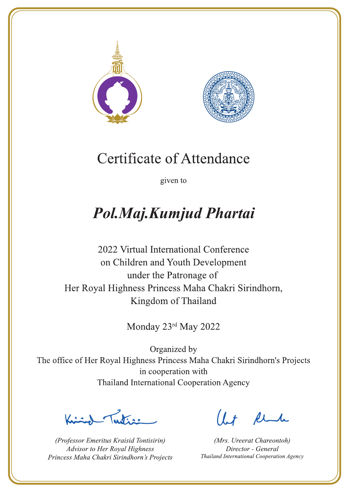



given to

### Pol.Maj.Kumjud Phartai

2022 Virtual International Conference on Children and Youth Development under the Patronage of Her Royal Highness Princess Maha Chakri Sirindhorn, Kingdom of Thailand

Monday 23rd May 2022

 $\sum_{\alpha}$ 

(Professor Emeritus Kraisid Tontisirin) Advisor to Her Royal Highness Princess Maha Chakri Sirindhorn's Projects

 $l.t$  find

(Mrs. Ureerat Chareontoh) Director - General Thailand International Cooperation Agency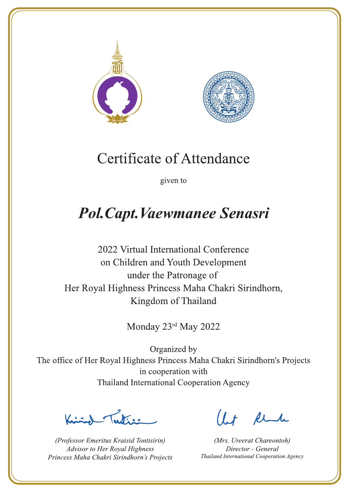



given to

## Pol. Capt. Vaewmanee Senasri

2022 Virtual International Conference on Children and Youth Development under the Patronage of Her Royal Highness Princess Maha Chakri Sirindhorn, Kingdom of Thailand

Monday 23rd May 2022

Lutin ,

(Professor Emeritus Kraisid Tontisirin) Advisor to Her Royal Highness Princess Maha Chakri Sirindhorn's Projects

 $l.t$  find

(Mrs. Ureerat Chareontoh) Director - General Thailand International Cooperation Agency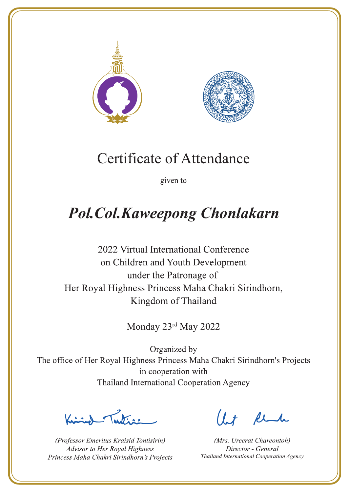



given to

# **Pol.Col.Kaweepong Chonlakarn**

2022 Virtual International Conference on Children and Youth Development under the Patronage of Her Royal Highness Princess Maha Chakri Sirindhorn, Kingdom of Thailand

Monday 23rd May 2022

Luten,

(Professor Emeritus Kraisid Tontisirin) Advisor to Her Royal Highness Princess Maha Chakri Sirindhorn's Projects

 $1 + \ell$ 

(Mrs. Ureerat Chareontoh) Director - General Thailand International Cooperation Agency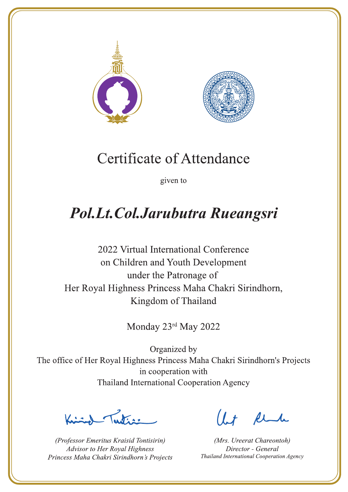



given to

### Pol.Lt.Col.Jarubutra Rueangsri

2022 Virtual International Conference on Children and Youth Development under the Patronage of Her Royal Highness Princess Maha Chakri Sirindhorn, Kingdom of Thailand

Monday 23rd May 2022

Lutin ,

(Professor Emeritus Kraisid Tontisirin) Advisor to Her Royal Highness Princess Maha Chakri Sirindhorn's Projects

 $1.7$  flu

(Mrs. Ureerat Chareontoh) Director - General Thailand International Cooperation Agency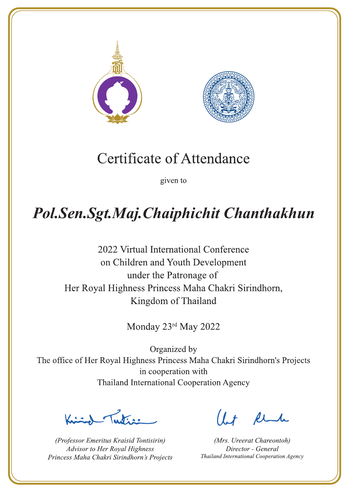



given to

## Pol.Sen.Sgt.Maj.Chaiphichit Chanthakhun

2022 Virtual International Conference on Children and Youth Development under the Patronage of Her Royal Highness Princess Maha Chakri Sirindhorn, Kingdom of Thailand

Monday 23rd May 2022

 $\frac{1}{\sqrt{2}}$ 

(Professor Emeritus Kraisid Tontisirin) Advisor to Her Royal Highness Princess Maha Chakri Sirindhorn's Projects

 $l + \ell$ 

(Mrs. Ureerat Chareontoh) Director - General Thailand International Cooperation Agency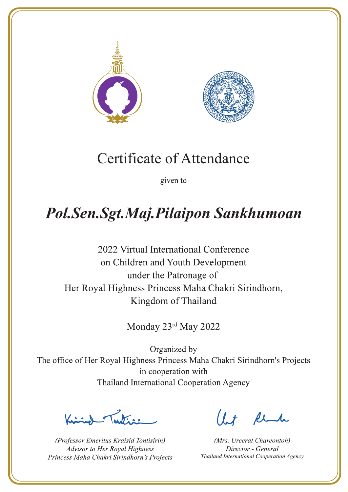



given to

## Pol.Sen.Sgt.Maj.Pilaipon Sankhumoan

2022 Virtual International Conference on Children and Youth Development under the Patronage of Her Royal Highness Princess Maha Chakri Sirindhorn, Kingdom of Thailand

Monday 23rd May 2022

 $\sqrt{1-\frac{1}{2}}$ 

(Professor Emeritus Kraisid Tontisirin) Advisor to Her Royal Highness Princess Maha Chakri Sirindhorn's Projects

 $1 + \ell$ 

(Mrs. Ureerat Chareontoh) Director - General Thailand International Cooperation Agency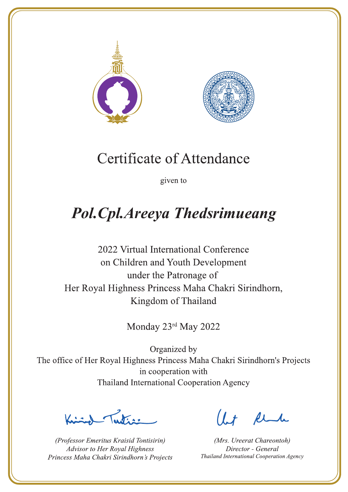



given to

# **Pol.Cpl.Areeya Thedsrimueang**

2022 Virtual International Conference on Children and Youth Development under the Patronage of Her Royal Highness Princess Maha Chakri Sirindhorn, Kingdom of Thailand

Monday 23rd May 2022

Letters ,

(Professor Emeritus Kraisid Tontisirin) Advisor to Her Royal Highness Princess Maha Chakri Sirindhorn's Projects

 $l.t$  find

(Mrs. Ureerat Chareontoh) Director - General Thailand International Cooperation Agency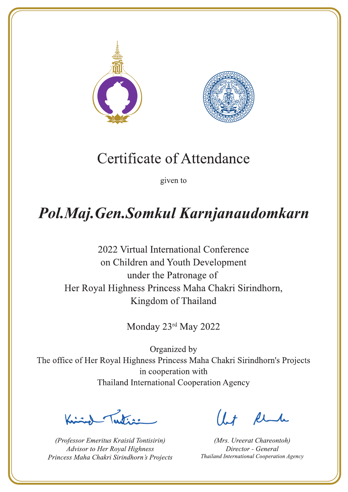



given to

## Pol.Maj.Gen.Somkul Karnjanaudomkarn

2022 Virtual International Conference on Children and Youth Development under the Patronage of Her Royal Highness Princess Maha Chakri Sirindhorn, Kingdom of Thailand

Monday 23rd May 2022

 $\frac{1}{\sqrt{2}}$ 

(Professor Emeritus Kraisid Tontisirin) Advisor to Her Royal Highness Princess Maha Chakri Sirindhorn's Projects

 $l + \ell$ 

(Mrs. Ureerat Chareontoh) Director - General Thailand International Cooperation Agency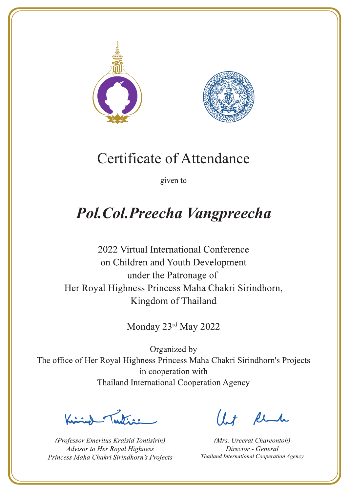



given to

## Pol. Col. Preecha Vangpreecha

2022 Virtual International Conference on Children and Youth Development under the Patronage of Her Royal Highness Princess Maha Chakri Sirindhorn, Kingdom of Thailand

Monday 23rd May 2022

Lutin ,

(Professor Emeritus Kraisid Tontisirin) Advisor to Her Royal Highness Princess Maha Chakri Sirindhorn's Projects

 $1.7$  flu

(Mrs. Ureerat Chareontoh) Director - General Thailand International Cooperation Agency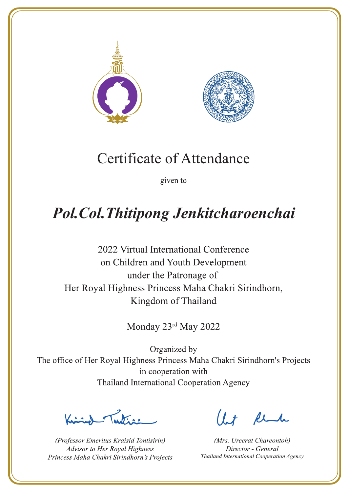



given to

# **Pol. Col. Thitipong Jenkitcharoenchai**

2022 Virtual International Conference on Children and Youth Development under the Patronage of Her Royal Highness Princess Maha Chakri Sirindhorn, Kingdom of Thailand

Monday 23rd May 2022

 $\sqrt{1-\frac{1}{2}}$ 

(Professor Emeritus Kraisid Tontisirin) Advisor to Her Royal Highness Princess Maha Chakri Sirindhorn's Projects

 $l + \ell$ 

(Mrs. Ureerat Chareontoh) Director - General Thailand International Cooperation Agency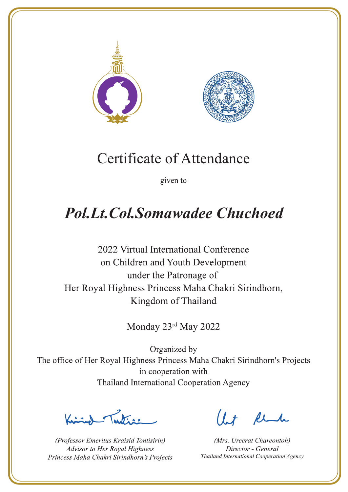



given to

## **Pol.Lt.Col.Somawadee Chuchoed**

2022 Virtual International Conference on Children and Youth Development under the Patronage of Her Royal Highness Princess Maha Chakri Sirindhorn, Kingdom of Thailand

Monday 23rd May 2022

Justin 1

(Professor Emeritus Kraisid Tontisirin) Advisor to Her Royal Highness Princess Maha Chakri Sirindhorn's Projects

 $1 + \mu$ 

(Mrs. Ureerat Chareontoh) Director - General Thailand International Cooperation Agency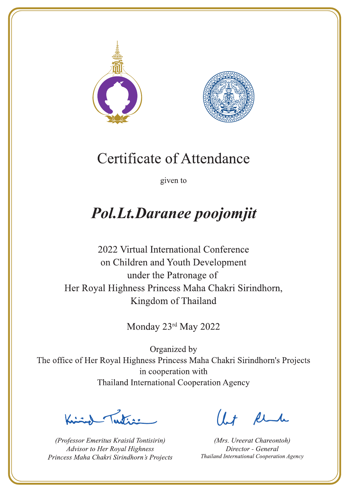



given to

## **Pol.Lt.Daranee poojomjit**

2022 Virtual International Conference on Children and Youth Development under the Patronage of Her Royal Highness Princess Maha Chakri Sirindhorn, Kingdom of Thailand

Monday 23rd May 2022

Justin 1

(Professor Emeritus Kraisid Tontisirin) Advisor to Her Royal Highness Princess Maha Chakri Sirindhorn's Projects

 $1.7$  flu

(Mrs. Ureerat Chareontoh) Director - General Thailand International Cooperation Agency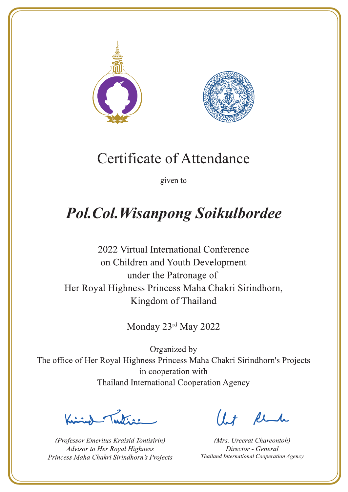



given to

## **Pol. Col. Wisanpong Soikulbordee**

2022 Virtual International Conference on Children and Youth Development under the Patronage of Her Royal Highness Princess Maha Chakri Sirindhorn, Kingdom of Thailand

Monday 23rd May 2022

 $\sqrt{1-\frac{1}{2}}$ 

(Professor Emeritus Kraisid Tontisirin) Advisor to Her Royal Highness Princess Maha Chakri Sirindhorn's Projects

 $l.t$  find

(Mrs. Ureerat Chareontoh) Director - General Thailand International Cooperation Agency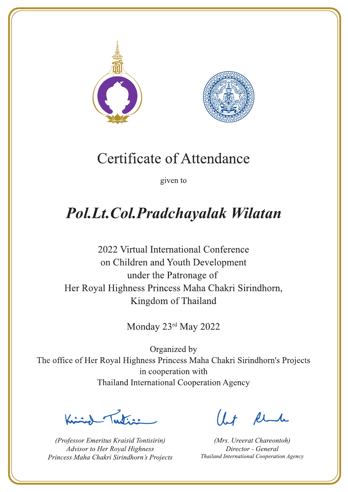



given to

### Pol.Lt.Col.Pradchayalak Wilatan

2022 Virtual International Conference on Children and Youth Development under the Patronage of Her Royal Highness Princess Maha Chakri Sirindhorn, Kingdom of Thailand

Monday 23rd May 2022

 $\chi$ 

(Professor Emeritus Kraisid Tontisirin) Advisor to Her Royal Highness Princess Maha Chakri Sirindhorn's Projects

 $1.7$  flu

(Mrs. Ureerat Chareontoh) Director - General Thailand International Cooperation Agency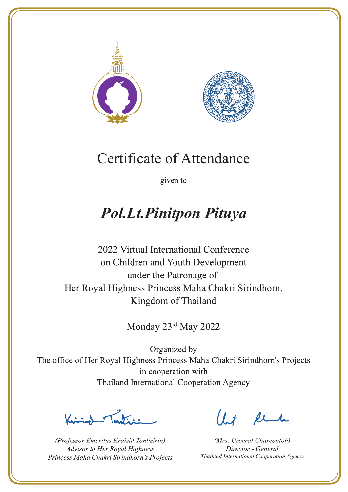



given to

### **Pol.Lt.Pinitpon Pituya**

2022 Virtual International Conference on Children and Youth Development under the Patronage of Her Royal Highness Princess Maha Chakri Sirindhorn, Kingdom of Thailand

Monday 23rd May 2022

La de a gr

(Professor Emeritus Kraisid Tontisirin) Advisor to Her Royal Highness Princess Maha Chakri Sirindhorn's Projects

 $l.t$  find

(Mrs. Ureerat Chareontoh) Director - General Thailand International Cooperation Agency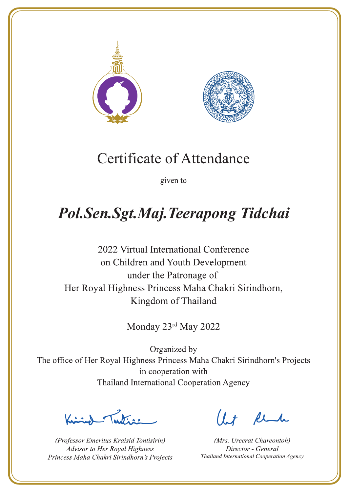



given to

# Pol.Sen.Sgt.Maj.Teerapong Tidchai

2022 Virtual International Conference on Children and Youth Development under the Patronage of Her Royal Highness Princess Maha Chakri Sirindhorn, Kingdom of Thailand

Monday 23rd May 2022

 $\sqrt{1-\frac{1}{2}}$ 

(Professor Emeritus Kraisid Tontisirin) Advisor to Her Royal Highness Princess Maha Chakri Sirindhorn's Projects

 $1.7$  find

(Mrs. Ureerat Chareontoh) Director - General Thailand International Cooperation Agency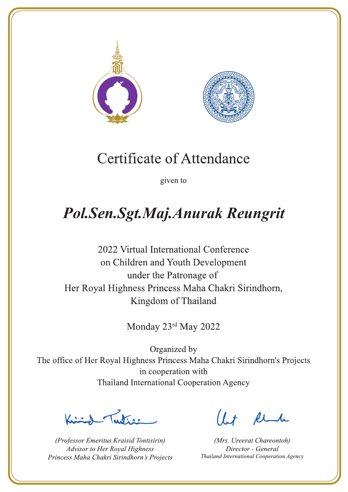



given to

## Pol.Sen.Sgt.Maj.Anurak Reungrit

2022 Virtual International Conference on Children and Youth Development under the Patronage of Her Royal Highness Princess Maha Chakri Sirindhorn, Kingdom of Thailand

Monday 23rd May 2022

 $\sqrt{1-\frac{1}{2}}$ 

(Professor Emeritus Kraisid Tontisirin) Advisor to Her Royal Highness Princess Maha Chakri Sirindhorn's Projects

 $l.t$  find

(Mrs. Ureerat Chareontoh) Director - General Thailand International Cooperation Agency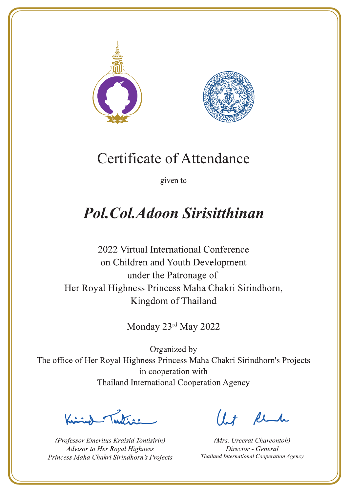



given to

### **Pol. Col. Adoon Sirisitthinan**

2022 Virtual International Conference on Children and Youth Development under the Patronage of Her Royal Highness Princess Maha Chakri Sirindhorn, Kingdom of Thailand

Monday 23rd May 2022

Letters ,

(Professor Emeritus Kraisid Tontisirin) Advisor to Her Royal Highness Princess Maha Chakri Sirindhorn's Projects

 $l.t$  find

(Mrs. Ureerat Chareontoh) Director - General Thailand International Cooperation Agency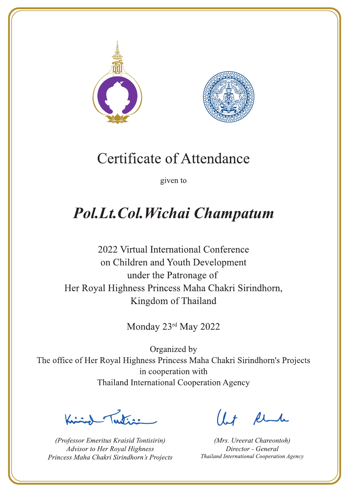



given to

## Pol.Lt.Col.Wichai Champatum

2022 Virtual International Conference on Children and Youth Development under the Patronage of Her Royal Highness Princess Maha Chakri Sirindhorn, Kingdom of Thailand

Monday 23rd May 2022

Let's

(Professor Emeritus Kraisid Tontisirin) Advisor to Her Royal Highness Princess Maha Chakri Sirindhorn's Projects

 $1.7$  flu

(Mrs. Ureerat Chareontoh) Director - General Thailand International Cooperation Agency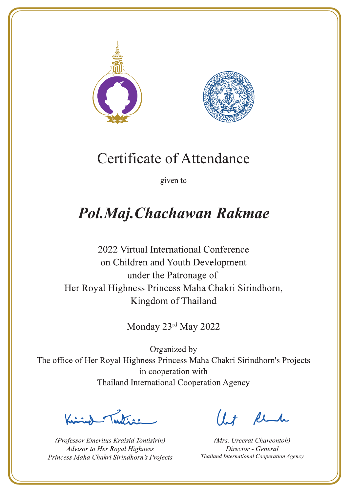



given to

## Pol.Maj.Chachawan Rakmae

2022 Virtual International Conference on Children and Youth Development under the Patronage of Her Royal Highness Princess Maha Chakri Sirindhorn, Kingdom of Thailand

Monday 23rd May 2022

Letters ,

(Professor Emeritus Kraisid Tontisirin) Advisor to Her Royal Highness Princess Maha Chakri Sirindhorn's Projects

 $l.t$  find

(Mrs. Ureerat Chareontoh) Director - General Thailand International Cooperation Agency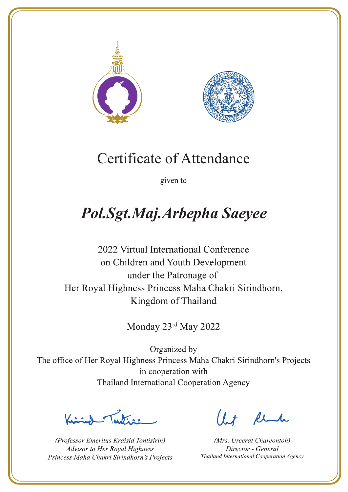



given to

# Pol.Sgt.Maj.Arbepha Saeyee

2022 Virtual International Conference on Children and Youth Development under the Patronage of Her Royal Highness Princess Maha Chakri Sirindhorn, Kingdom of Thailand

Monday 23rd May 2022

Letters

(Professor Emeritus Kraisid Tontisirin) Advisor to Her Royal Highness Princess Maha Chakri Sirindhorn's Projects

 $l.t$  find

(Mrs. Ureerat Chareontoh) Director - General Thailand International Cooperation Agency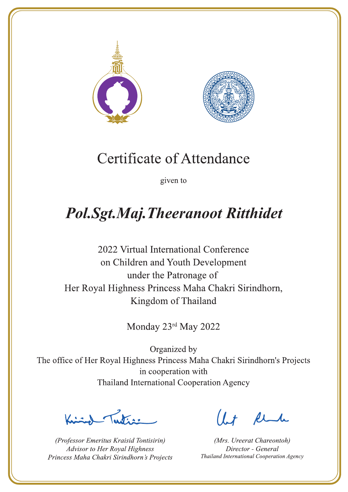



given to

## **Pol.Sgt.Maj.Theeranoot Ritthidet**

2022 Virtual International Conference on Children and Youth Development under the Patronage of Her Royal Highness Princess Maha Chakri Sirindhorn, Kingdom of Thailand

Monday 23rd May 2022

Letters ,

(Professor Emeritus Kraisid Tontisirin) Advisor to Her Royal Highness Princess Maha Chakri Sirindhorn's Projects

 $l.t$  find

(Mrs. Ureerat Chareontoh) Director - General Thailand International Cooperation Agency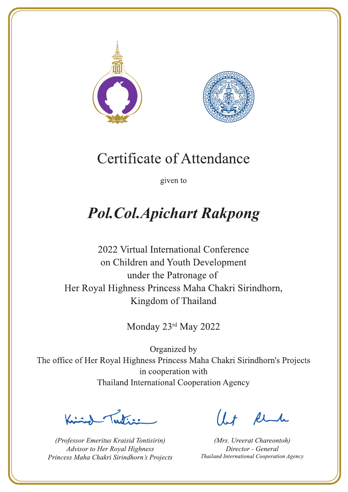



given to

# **Pol.Col.Apichart Rakpong**

2022 Virtual International Conference on Children and Youth Development under the Patronage of Her Royal Highness Princess Maha Chakri Sirindhorn, Kingdom of Thailand

Monday 23rd May 2022

Justin 1

(Professor Emeritus Kraisid Tontisirin) Advisor to Her Royal Highness Princess Maha Chakri Sirindhorn's Projects

 $l.t$  find

(Mrs. Ureerat Chareontoh) Director - General Thailand International Cooperation Agency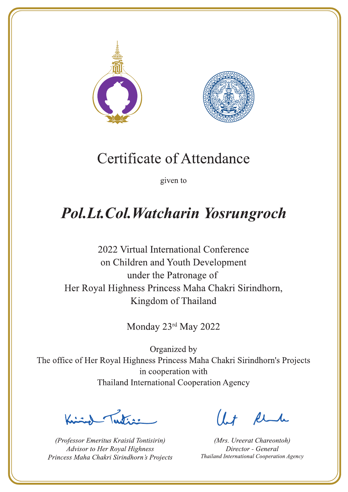



given to

### Pol.Lt.Col.Watcharin Yosrungroch

2022 Virtual International Conference on Children and Youth Development under the Patronage of Her Royal Highness Princess Maha Chakri Sirindhorn, Kingdom of Thailand

Monday 23rd May 2022

Justin 1

(Professor Emeritus Kraisid Tontisirin) Advisor to Her Royal Highness Princess Maha Chakri Sirindhorn's Projects

 $1.7$  find

(Mrs. Ureerat Chareontoh) Director - General Thailand International Cooperation Agency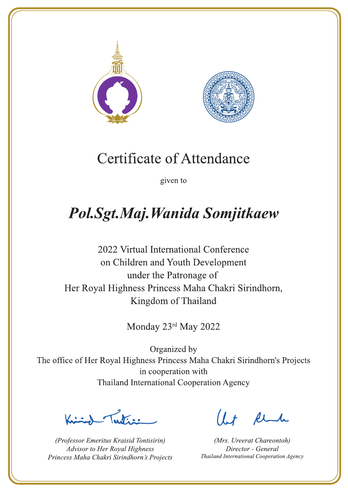



given to

## Pol.Sgt.Maj. Wanida Somjitkaew

2022 Virtual International Conference on Children and Youth Development under the Patronage of Her Royal Highness Princess Maha Chakri Sirindhorn, Kingdom of Thailand

Monday 23rd May 2022

Justin 1

(Professor Emeritus Kraisid Tontisirin) Advisor to Her Royal Highness Princess Maha Chakri Sirindhorn's Projects

 $l.t$  find

(Mrs. Ureerat Chareontoh) Director - General Thailand International Cooperation Agency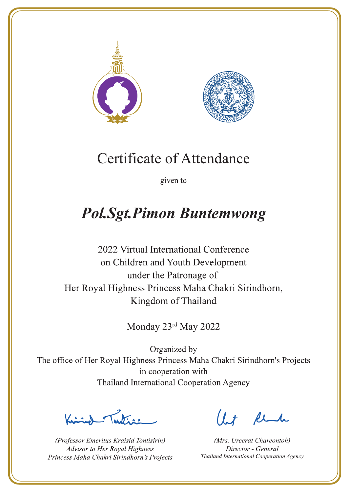



given to

### **Pol.Sgt.Pimon Buntemwong**

2022 Virtual International Conference on Children and Youth Development under the Patronage of Her Royal Highness Princess Maha Chakri Sirindhorn, Kingdom of Thailand

Monday 23rd May 2022

 $\sum_{n=1}^{\infty}$ 

(Professor Emeritus Kraisid Tontisirin) Advisor to Her Royal Highness Princess Maha Chakri Sirindhorn's Projects

 $l.t$  find

(Mrs. Ureerat Chareontoh) Director - General Thailand International Cooperation Agency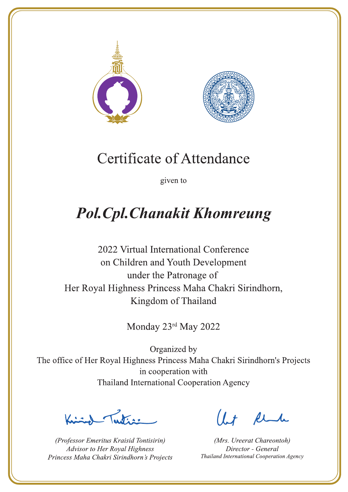



given to

# **Pol. Cpl. Chanakit Khomreung**

2022 Virtual International Conference on Children and Youth Development under the Patronage of Her Royal Highness Princess Maha Chakri Sirindhorn, Kingdom of Thailand

Monday 23rd May 2022

 $\sum_{n=1}^{\infty}$ 

(Professor Emeritus Kraisid Tontisirin) Advisor to Her Royal Highness Princess Maha Chakri Sirindhorn's Projects

 $l.t$  find

(Mrs. Ureerat Chareontoh) Director - General Thailand International Cooperation Agency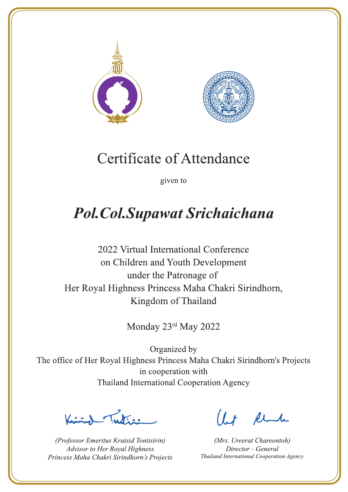



given to

### **Pol. Col. Supawat Srichaichana**

2022 Virtual International Conference on Children and Youth Development under the Patronage of Her Royal Highness Princess Maha Chakri Sirindhorn, Kingdom of Thailand

Monday 23rd May 2022

 $\chi$ 

(Professor Emeritus Kraisid Tontisirin) Advisor to Her Royal Highness Princess Maha Chakri Sirindhorn's Projects

 $l.t$  find

(Mrs. Ureerat Chareontoh) Director - General Thailand International Cooperation Agency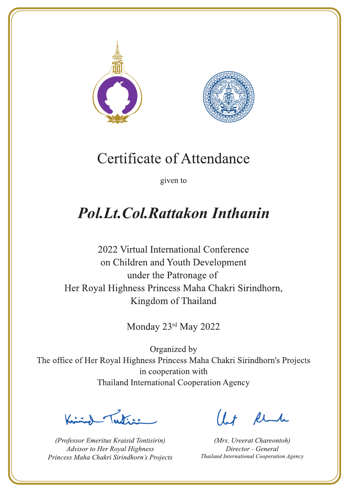



given to

### **Pol.Lt.Col.Rattakon Inthanin**

2022 Virtual International Conference on Children and Youth Development under the Patronage of Her Royal Highness Princess Maha Chakri Sirindhorn, Kingdom of Thailand

Monday 23rd May 2022

Justin 1

(Professor Emeritus Kraisid Tontisirin) Advisor to Her Royal Highness Princess Maha Chakri Sirindhorn's Projects

 $l.t$  find

(Mrs. Ureerat Chareontoh) Director - General Thailand International Cooperation Agency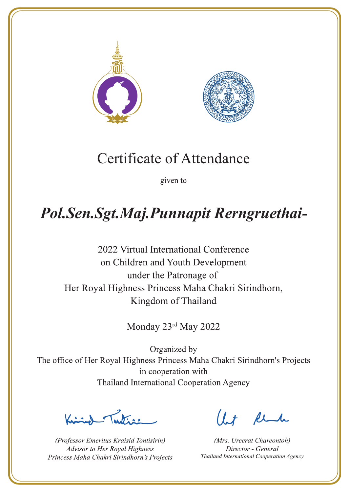



given to

### Pol.Sen.Sgt.Maj.Punnapit Rerngruethai-

2022 Virtual International Conference on Children and Youth Development under the Patronage of Her Royal Highness Princess Maha Chakri Sirindhorn, Kingdom of Thailand

Monday 23rd May 2022

 $\sum_{i=1}^{n}$ 

(Professor Emeritus Kraisid Tontisirin) Advisor to Her Royal Highness Princess Maha Chakri Sirindhorn's Projects

 $l + \ell$ 

(Mrs. Ureerat Chareontoh) Director - General Thailand International Cooperation Agency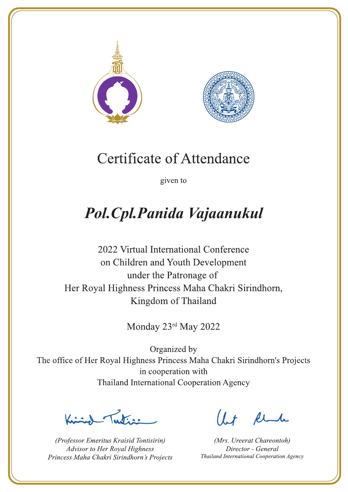



given to

## Pol. Cpl. Panida Vajaanukul

2022 Virtual International Conference on Children and Youth Development under the Patronage of Her Royal Highness Princess Maha Chakri Sirindhorn, Kingdom of Thailand

Monday 23rd May 2022

Letters ,

(Professor Emeritus Kraisid Tontisirin) Advisor to Her Royal Highness Princess Maha Chakri Sirindhorn's Projects

 $l.t$  find

(Mrs. Ureerat Chareontoh) Director - General Thailand International Cooperation Agency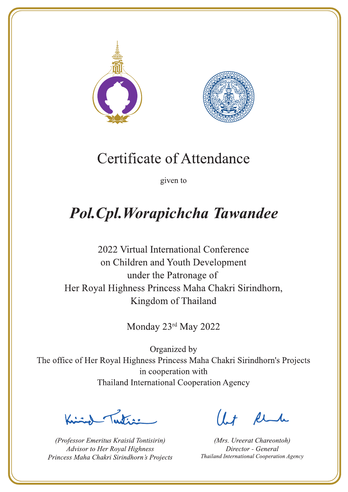



given to

# Pol. Cpl. Worapichcha Tawandee

2022 Virtual International Conference on Children and Youth Development under the Patronage of Her Royal Highness Princess Maha Chakri Sirindhorn, Kingdom of Thailand

Monday 23rd May 2022

 $\sqrt{1-\frac{1}{2}}$ 

(Professor Emeritus Kraisid Tontisirin) Advisor to Her Royal Highness Princess Maha Chakri Sirindhorn's Projects

 $l.t$  find

(Mrs. Ureerat Chareontoh) Director - General Thailand International Cooperation Agency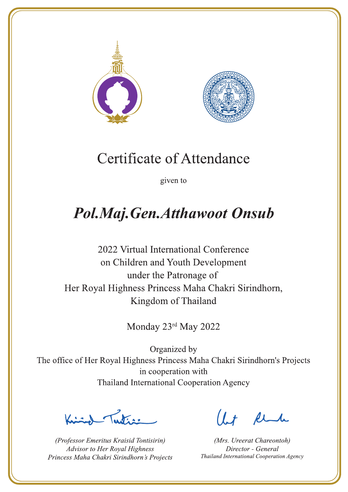



given to

## **Pol.Maj.Gen.Atthawoot Onsub**

2022 Virtual International Conference on Children and Youth Development under the Patronage of Her Royal Highness Princess Maha Chakri Sirindhorn, Kingdom of Thailand

Monday 23rd May 2022

 $\sqrt{1-\frac{1}{2}}$ 

(Professor Emeritus Kraisid Tontisirin) Advisor to Her Royal Highness Princess Maha Chakri Sirindhorn's Projects

 $l.t$  find

(Mrs. Ureerat Chareontoh) Director - General Thailand International Cooperation Agency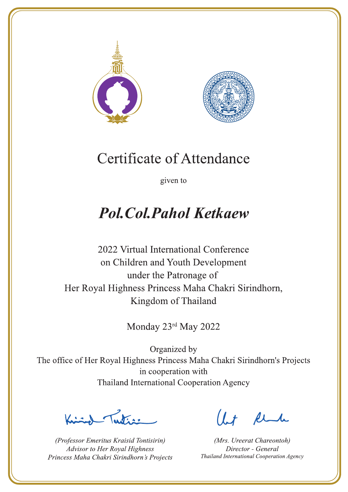



given to

### **Pol. Col. Pahol Ketkaew**

2022 Virtual International Conference on Children and Youth Development under the Patronage of Her Royal Highness Princess Maha Chakri Sirindhorn, Kingdom of Thailand

Monday 23rd May 2022

Letters ,

(Professor Emeritus Kraisid Tontisirin) Advisor to Her Royal Highness Princess Maha Chakri Sirindhorn's Projects

 $l.t$  find

(Mrs. Ureerat Chareontoh) Director - General Thailand International Cooperation Agency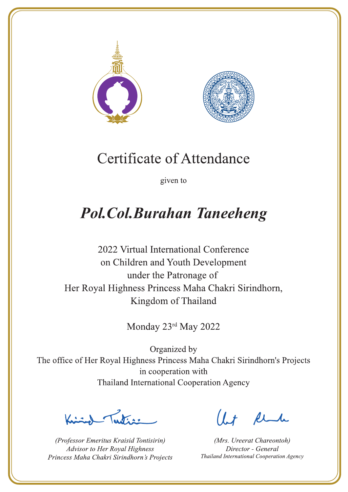



given to

## **Pol.Col.Burahan Taneeheng**

2022 Virtual International Conference on Children and Youth Development under the Patronage of Her Royal Highness Princess Maha Chakri Sirindhorn, Kingdom of Thailand

Monday 23rd May 2022

Ludian

(Professor Emeritus Kraisid Tontisirin) Advisor to Her Royal Highness Princess Maha Chakri Sirindhorn's Projects

 $1 + \ell$ 

(Mrs. Ureerat Chareontoh) Director - General Thailand International Cooperation Agency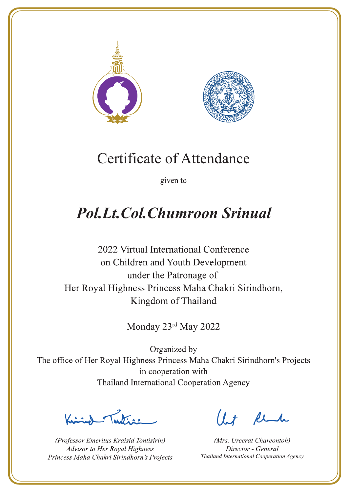



given to

### **Pol.Lt.Col.Chumroon Srinual**

2022 Virtual International Conference on Children and Youth Development under the Patronage of Her Royal Highness Princess Maha Chakri Sirindhorn, Kingdom of Thailand

Monday 23rd May 2022

 $\sum_{n=1}^{\infty}$ 

(Professor Emeritus Kraisid Tontisirin) Advisor to Her Royal Highness Princess Maha Chakri Sirindhorn's Projects

 $l.t$  find

(Mrs. Ureerat Chareontoh) Director - General Thailand International Cooperation Agency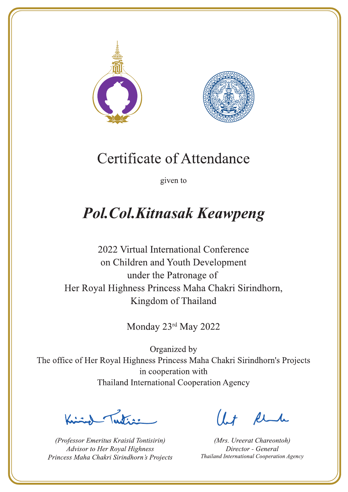



given to

# **Pol. Col. Kitnasak Keawpeng**

2022 Virtual International Conference on Children and Youth Development under the Patronage of Her Royal Highness Princess Maha Chakri Sirindhorn, Kingdom of Thailand

Monday 23rd May 2022

Lating

(Professor Emeritus Kraisid Tontisirin) Advisor to Her Royal Highness Princess Maha Chakri Sirindhorn's Projects

 $1.7$  find

(Mrs. Ureerat Chareontoh) Director - General Thailand International Cooperation Agency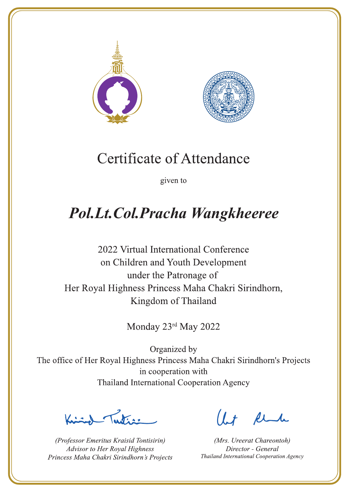



given to

### Pol.Lt.Col.Pracha Wangkheeree

2022 Virtual International Conference on Children and Youth Development under the Patronage of Her Royal Highness Princess Maha Chakri Sirindhorn, Kingdom of Thailand

Monday 23rd May 2022

Lutin ,

(Professor Emeritus Kraisid Tontisirin) Advisor to Her Royal Highness Princess Maha Chakri Sirindhorn's Projects

 $1.7$  find

(Mrs. Ureerat Chareontoh) Director - General Thailand International Cooperation Agency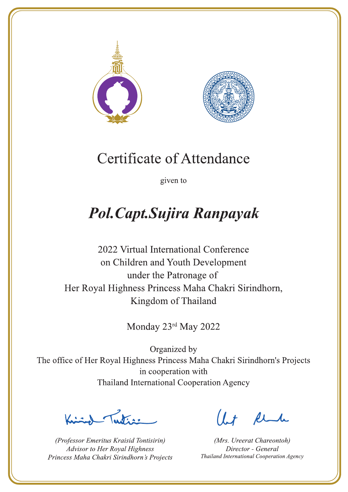



given to

# Pol. Capt. Sujira Ranpayak

2022 Virtual International Conference on Children and Youth Development under the Patronage of Her Royal Highness Princess Maha Chakri Sirindhorn, Kingdom of Thailand

Monday 23rd May 2022

Justin 1

(Professor Emeritus Kraisid Tontisirin) Advisor to Her Royal Highness Princess Maha Chakri Sirindhorn's Projects

 $l.t$  find

(Mrs. Ureerat Chareontoh) Director - General Thailand International Cooperation Agency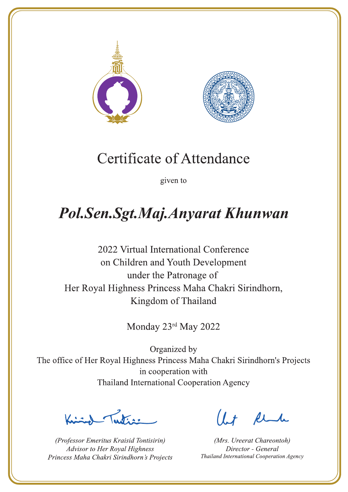



given to

### Pol.Sen.Sgt.Maj.Anyarat Khunwan

2022 Virtual International Conference on Children and Youth Development under the Patronage of Her Royal Highness Princess Maha Chakri Sirindhorn, Kingdom of Thailand

Monday 23rd May 2022

Letters ,

(Professor Emeritus Kraisid Tontisirin) Advisor to Her Royal Highness Princess Maha Chakri Sirindhorn's Projects

 $l.t$  find

(Mrs. Ureerat Chareontoh) Director - General Thailand International Cooperation Agency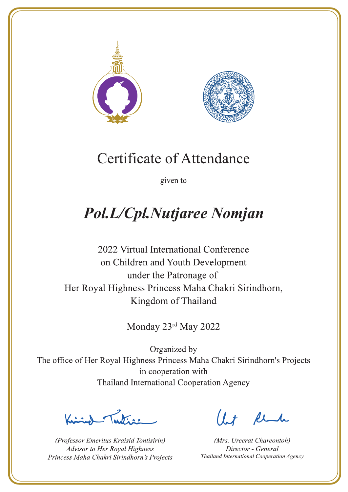



given to

# Pol.L/Cpl.Nutjaree Nomjan

2022 Virtual International Conference on Children and Youth Development under the Patronage of Her Royal Highness Princess Maha Chakri Sirindhorn, Kingdom of Thailand

Monday 23rd May 2022

 $\sum_{n=1}^{\infty}$ 

(Professor Emeritus Kraisid Tontisirin) Advisor to Her Royal Highness Princess Maha Chakri Sirindhorn's Projects

 $l.t$  find

(Mrs. Ureerat Chareontoh) Director - General Thailand International Cooperation Agency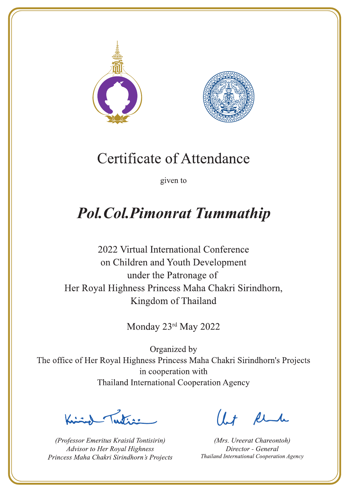



given to

### **Pol. Col. Pimonrat Tummathip**

2022 Virtual International Conference on Children and Youth Development under the Patronage of Her Royal Highness Princess Maha Chakri Sirindhorn, Kingdom of Thailand

Monday 23rd May 2022

Ludian

(Professor Emeritus Kraisid Tontisirin) Advisor to Her Royal Highness Princess Maha Chakri Sirindhorn's Projects

 $1.7$  find

(Mrs. Ureerat Chareontoh) Director - General Thailand International Cooperation Agency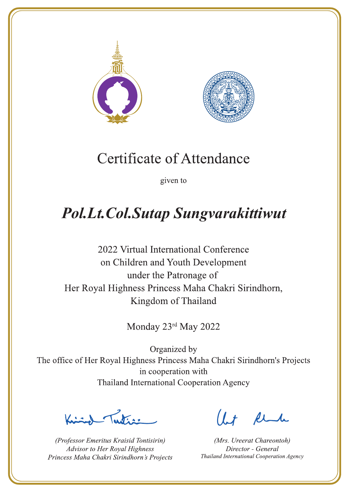



given to

# **Pol.Lt.Col.Sutap Sungvarakittiwut**

2022 Virtual International Conference on Children and Youth Development under the Patronage of Her Royal Highness Princess Maha Chakri Sirindhorn, Kingdom of Thailand

Monday 23rd May 2022

 $\sqrt{1-\frac{1}{2}}$ 

(Professor Emeritus Kraisid Tontisirin) Advisor to Her Royal Highness Princess Maha Chakri Sirindhorn's Projects

 $1 + \ell$ 

(Mrs. Ureerat Chareontoh) Director - General Thailand International Cooperation Agency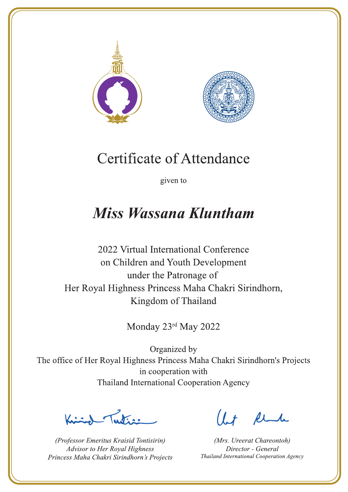



given to

### **Miss Wassana Kluntham**

2022 Virtual International Conference on Children and Youth Development under the Patronage of Her Royal Highness Princess Maha Chakri Sirindhorn, Kingdom of Thailand

Monday 23rd May 2022

Peters .

(Professor Emeritus Kraisid Tontisirin) Advisor to Her Royal Highness Princess Maha Chakri Sirindhorn's Projects

Ut Rende

(Mrs. Ureerat Chareontoh) Director - General Thailand International Cooperation Agency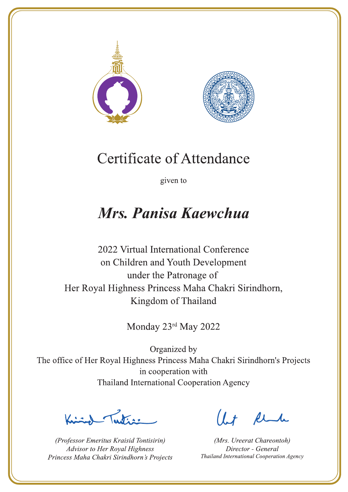



given to

### Mrs. Panisa Kaewchua

2022 Virtual International Conference on Children and Youth Development under the Patronage of Her Royal Highness Princess Maha Chakri Sirindhorn, Kingdom of Thailand

Monday 23rd May 2022

Letters ,

(Professor Emeritus Kraisid Tontisirin) Advisor to Her Royal Highness Princess Maha Chakri Sirindhorn's Projects

 $l.t$  find

(Mrs. Ureerat Chareontoh) Director - General Thailand International Cooperation Agency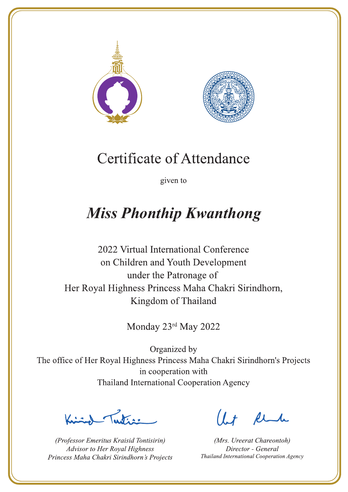



given to

### **Miss Phonthip Kwanthong**

2022 Virtual International Conference on Children and Youth Development under the Patronage of Her Royal Highness Princess Maha Chakri Sirindhorn, Kingdom of Thailand

Monday 23rd May 2022

Let's

(Professor Emeritus Kraisid Tontisirin) Advisor to Her Royal Highness Princess Maha Chakri Sirindhorn's Projects

 $l.t$  find

(Mrs. Ureerat Chareontoh) Director - General Thailand International Cooperation Agency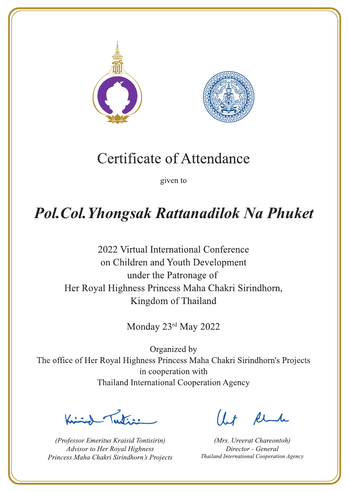



given to

### **Pol. Col. Yhongsak Rattanadilok Na Phuket**

2022 Virtual International Conference on Children and Youth Development under the Patronage of Her Royal Highness Princess Maha Chakri Sirindhorn, Kingdom of Thailand

Monday 23rd May 2022

 $\sum_{i=1}^{n}$ 

(Professor Emeritus Kraisid Tontisirin) Advisor to Her Royal Highness Princess Maha Chakri Sirindhorn's Projects

 $l + \ell$ 

(Mrs. Ureerat Chareontoh) Director - General Thailand International Cooperation Agency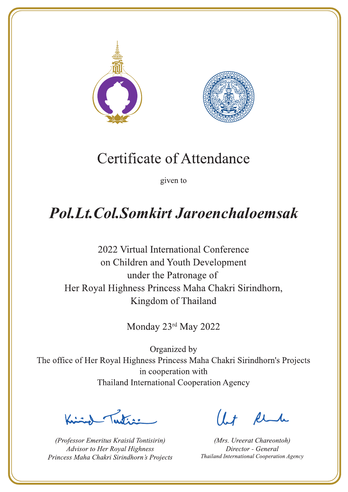



given to

### **Pol.Lt.Col.Somkirt Jaroenchaloemsak**

2022 Virtual International Conference on Children and Youth Development under the Patronage of Her Royal Highness Princess Maha Chakri Sirindhorn, Kingdom of Thailand

Monday 23rd May 2022

Justin 1

(Professor Emeritus Kraisid Tontisirin) Advisor to Her Royal Highness Princess Maha Chakri Sirindhorn's Projects

 $1 + \mu$ 

(Mrs. Ureerat Chareontoh) Director - General Thailand International Cooperation Agency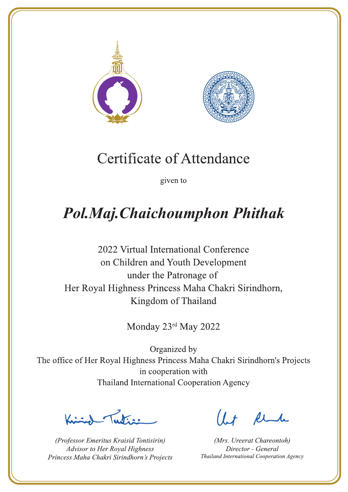



given to

## Pol.Maj.Chaichoumphon Phithak

2022 Virtual International Conference on Children and Youth Development under the Patronage of Her Royal Highness Princess Maha Chakri Sirindhorn, Kingdom of Thailand

Monday 23rd May 2022

 $\frac{1}{\sqrt{2}}$ 

(Professor Emeritus Kraisid Tontisirin) Advisor to Her Royal Highness Princess Maha Chakri Sirindhorn's Projects

 $1 + \ell$ 

(Mrs. Ureerat Chareontoh) Director - General Thailand International Cooperation Agency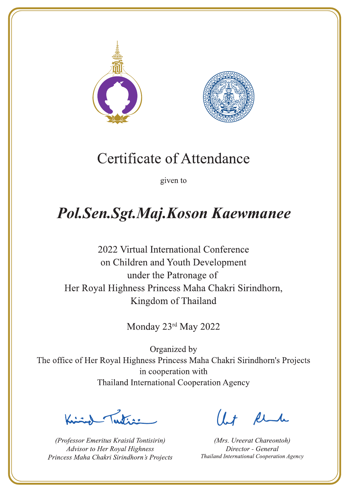



given to

## Pol.Sen.Sgt.Maj.Koson Kaewmanee

2022 Virtual International Conference on Children and Youth Development under the Patronage of Her Royal Highness Princess Maha Chakri Sirindhorn, Kingdom of Thailand

Monday 23rd May 2022

Letters ,

(Professor Emeritus Kraisid Tontisirin) Advisor to Her Royal Highness Princess Maha Chakri Sirindhorn's Projects

 $l.t$  find

(Mrs. Ureerat Chareontoh) Director - General Thailand International Cooperation Agency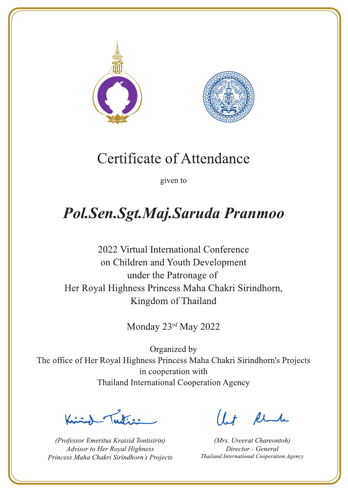



given to

### Pol.Sen.Sgt.Maj.Saruda Pranmoo

2022 Virtual International Conference on Children and Youth Development under the Patronage of Her Royal Highness Princess Maha Chakri Sirindhorn, Kingdom of Thailand

Monday 23rd May 2022

Letters ,

(Professor Emeritus Kraisid Tontisirin) Advisor to Her Royal Highness Princess Maha Chakri Sirindhorn's Projects

 $l.t$  find

(Mrs. Ureerat Chareontoh) Director - General Thailand International Cooperation Agency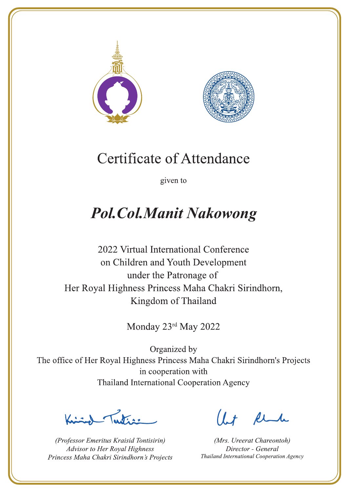



given to

### **Pol.Col.Manit Nakowong**

2022 Virtual International Conference on Children and Youth Development under the Patronage of Her Royal Highness Princess Maha Chakri Sirindhorn, Kingdom of Thailand

Monday 23rd May 2022

Latin ,

(Professor Emeritus Kraisid Tontisirin) Advisor to Her Royal Highness Princess Maha Chakri Sirindhorn's Projects

 $1 + \ell$ 

(Mrs. Ureerat Chareontoh) Director - General Thailand International Cooperation Agency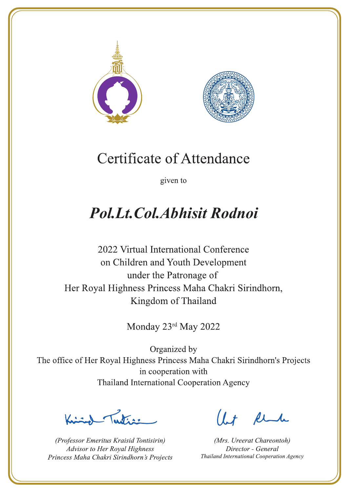



given to

### **Pol.Lt.Col.Abhisit Rodnoi**

2022 Virtual International Conference on Children and Youth Development under the Patronage of Her Royal Highness Princess Maha Chakri Sirindhorn, Kingdom of Thailand

Monday 23rd May 2022

Justin 1

(Professor Emeritus Kraisid Tontisirin) Advisor to Her Royal Highness Princess Maha Chakri Sirindhorn's Projects

 $l.t$  find

(Mrs. Ureerat Chareontoh) Director - General Thailand International Cooperation Agency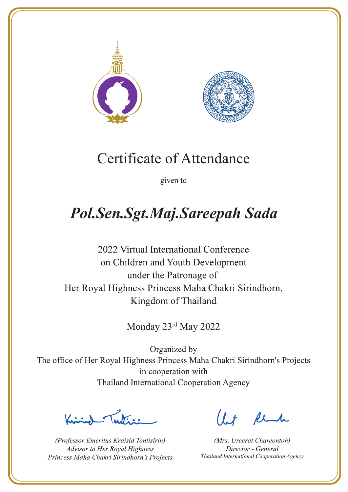



given to

# Pol.Sen.Sgt.Maj.Sareepah Sada

2022 Virtual International Conference on Children and Youth Development under the Patronage of Her Royal Highness Princess Maha Chakri Sirindhorn, Kingdom of Thailand

Monday 23rd May 2022

 $\sqrt{1-\frac{1}{2}}$ 

(Professor Emeritus Kraisid Tontisirin) Advisor to Her Royal Highness Princess Maha Chakri Sirindhorn's Projects

 $l.t$  find

(Mrs. Ureerat Chareontoh) Director - General Thailand International Cooperation Agency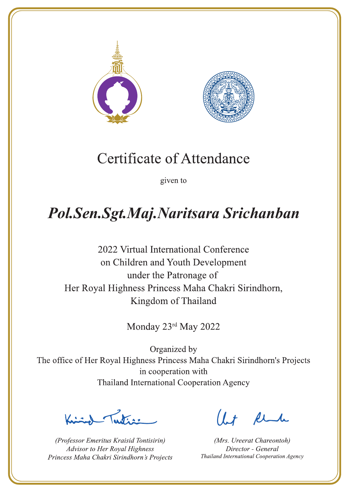



given to

## Pol.Sen.Sgt.Maj.Naritsara Srichanban

2022 Virtual International Conference on Children and Youth Development under the Patronage of Her Royal Highness Princess Maha Chakri Sirindhorn, Kingdom of Thailand

Monday 23rd May 2022

 $\sqrt{\frac{1}{1-\frac{1}{1-\frac{1}{1-\frac{1}{1-\frac{1}{1-\frac{1}{1-\frac{1}{1-\frac{1}{1-\frac{1}{1-\frac{1}{1-\frac{1}{1-\frac{1}{1-\frac{1}{1-\frac{1}{1-\frac{1}{1-\frac{1}{1-\frac{1}{1-\frac{1}{1-\frac{1}{1-\frac{1}{1-\frac{1}{1-\frac{1}{1-\frac{1}{1-\frac{1}{1-\frac{1}{1-\frac{1}{1-\frac{1}{1-\frac{1}{1-\frac{1}{1-\frac{1}{1-\frac{1}{1-\frac{1}{1-\frac{1}{1-\frac{1}{1-\frac{1}{1-\frac{1}{1-\frac$ 

(Professor Emeritus Kraisid Tontisirin) Advisor to Her Royal Highness Princess Maha Chakri Sirindhorn's Projects

 $l + \ell$ 

(Mrs. Ureerat Chareontoh) Director - General Thailand International Cooperation Agency